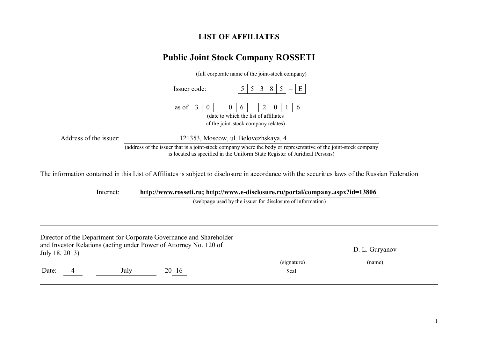## **LIST OF AFFILIATES**

## **Public Joint Stock Company ROSSETI**

|                        | (full corporate name of the joint-stock company)                                                                                                                                                                                                                                                                              |
|------------------------|-------------------------------------------------------------------------------------------------------------------------------------------------------------------------------------------------------------------------------------------------------------------------------------------------------------------------------|
|                        | E<br>Issuer code:<br>8<br>3<br>$\mathcal{L}$                                                                                                                                                                                                                                                                                  |
|                        | as of<br>$\theta$<br><sub>0</sub><br>(date to which the list of affiliates)<br>of the joint-stock company relates)                                                                                                                                                                                                            |
| Address of the issuer: | 121353, Moscow, ul. Belovezhskaya, 4                                                                                                                                                                                                                                                                                          |
|                        | (address of the issuer that is a joint-stock company where the body or representative of the joint-stock company<br>is located as specified in the Uniform State Register of Juridical Persons)                                                                                                                               |
|                        | $\mathbf{r}$ , and $\mathbf{r}$ , $\mathbf{r}$ , $\mathbf{r}$ , $\mathbf{r}$ , $\mathbf{r}$ , $\mathbf{r}$ , $\mathbf{r}$ , $\mathbf{r}$ , $\mathbf{r}$ , $\mathbf{r}$ , $\mathbf{r}$ , $\mathbf{r}$ , $\mathbf{r}$ , $\mathbf{r}$ , $\mathbf{r}$ , $\mathbf{r}$ , $\mathbf{r}$ , $\mathbf{r}$ , $\mathbf{r}$<br>$1.11 - 1.1$ |

The information contained in this List of Affiliates is subject to disclosure in accordance with the securities laws of the Russian Federation

Internet: **http://www.rosseti.ru; http://www.e-disclosure.ru/portal/company.aspx?id=13806**

(webpage used by the issuer for disclosure of information)

|                |      | Director of the Department for Corporate Governance and Shareholder |             |                |  |
|----------------|------|---------------------------------------------------------------------|-------------|----------------|--|
| July 18, 2013) |      | and Investor Relations (acting under Power of Attorney No. 120 of   |             | D. L. Guryanov |  |
|                |      |                                                                     | (signature) | (name)         |  |
| Date:          | July | 20 16                                                               | Seal        |                |  |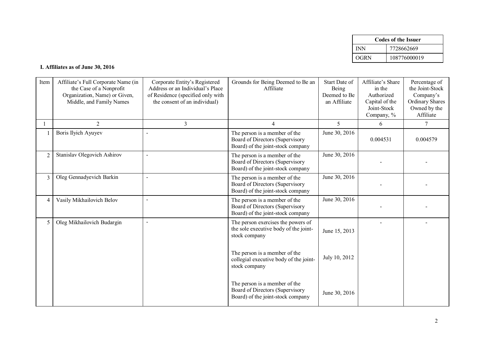|      | <b>Codes of the Issuer</b> |
|------|----------------------------|
| INN  | 7728662669                 |
| OGRN | 108776000019               |

## **I. Affiliates as of June 30, 2016**

| Item           | Affiliate's Full Corporate Name (in<br>the Case of a Nonprofit<br>Organization, Name) or Given,<br>Middle, and Family Names | Corporate Entity's Registered<br>Address or an Individual's Place<br>of Residence (specified only with<br>the consent of an individual) | Grounds for Being Deemed to Be an<br>Affiliate                                                        | Start Date of<br>Being<br>Deemed to Be<br>an Affiliate | Affiliate's Share<br>in the<br>Authorized<br>Capital of the<br>Joint-Stock<br>Company, % | Percentage of<br>the Joint-Stock<br>Company's<br><b>Ordinary Shares</b><br>Owned by the<br>Affiliate |
|----------------|-----------------------------------------------------------------------------------------------------------------------------|-----------------------------------------------------------------------------------------------------------------------------------------|-------------------------------------------------------------------------------------------------------|--------------------------------------------------------|------------------------------------------------------------------------------------------|------------------------------------------------------------------------------------------------------|
|                | 2                                                                                                                           | $\overline{3}$                                                                                                                          | 4                                                                                                     | 5                                                      | 6                                                                                        | $\tau$                                                                                               |
|                | Boris Ilyich Ayuyev                                                                                                         |                                                                                                                                         | The person is a member of the<br>Board of Directors (Supervisory<br>Board) of the joint-stock company | June 30, 2016                                          | 0.004531                                                                                 | 0.004579                                                                                             |
| $\overline{2}$ | Stanislav Olegovich Ashirov                                                                                                 | $\sim$                                                                                                                                  | The person is a member of the<br>Board of Directors (Supervisory<br>Board) of the joint-stock company | June 30, 2016                                          |                                                                                          |                                                                                                      |
| $\overline{3}$ | Oleg Gennadyevich Barkin                                                                                                    |                                                                                                                                         | The person is a member of the<br>Board of Directors (Supervisory<br>Board) of the joint-stock company | June 30, 2016                                          |                                                                                          |                                                                                                      |
| $\overline{4}$ | Vasily Mikhailovich Belov                                                                                                   |                                                                                                                                         | The person is a member of the<br>Board of Directors (Supervisory<br>Board) of the joint-stock company | June 30, 2016                                          |                                                                                          |                                                                                                      |
| 5              | Oleg Mikhailovich Budargin                                                                                                  | $\sim$                                                                                                                                  | The person exercises the powers of<br>the sole executive body of the joint-<br>stock company          | June 15, 2013                                          |                                                                                          |                                                                                                      |
|                |                                                                                                                             |                                                                                                                                         | The person is a member of the<br>collegial executive body of the joint-<br>stock company              | July 10, 2012                                          |                                                                                          |                                                                                                      |
|                |                                                                                                                             |                                                                                                                                         | The person is a member of the<br>Board of Directors (Supervisory<br>Board) of the joint-stock company | June 30, 2016                                          |                                                                                          |                                                                                                      |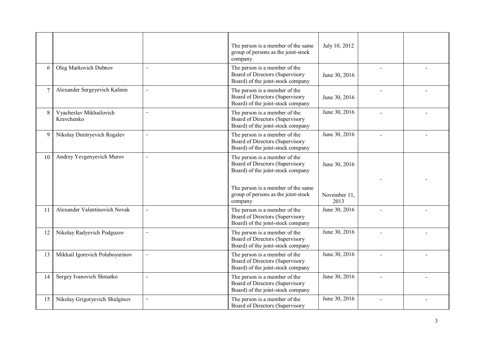|        |                                       |                | The person is a member of the same<br>group of persons as the joint-stock<br>company                  | July 10, 2012        |  |
|--------|---------------------------------------|----------------|-------------------------------------------------------------------------------------------------------|----------------------|--|
| 6      | Oleg Markovich Dubnov                 | $\overline{a}$ | The person is a member of the<br>Board of Directors (Supervisory<br>Board) of the joint-stock company | June 30, 2016        |  |
| $\tau$ | Alexander Sergeyevich Kalinin         | $\overline{a}$ | The person is a member of the<br>Board of Directors (Supervisory<br>Board) of the joint-stock company | June 30, 2016        |  |
| 8      | Vyacheslav Mikhailovich<br>Kravchenko | $\overline{a}$ | The person is a member of the<br>Board of Directors (Supervisory<br>Board) of the joint-stock company | June 30, 2016        |  |
| 9      | Nikolay Dmitryevich Rogalev           | $\overline{a}$ | The person is a member of the<br>Board of Directors (Supervisory<br>Board) of the joint-stock company | June 30, 2016        |  |
| 10     | Andrey Yevgenyevich Murov             | $\overline{a}$ | The person is a member of the<br>Board of Directors (Supervisory<br>Board) of the joint-stock company | June 30, 2016        |  |
|        |                                       |                | The person is a member of the same<br>group of persons as the joint-stock<br>company                  | November 11,<br>2013 |  |
| 11     | Alexander Valentinovich Novak         | $\overline{a}$ | The person is a member of the<br>Board of Directors (Supervisory<br>Board) of the joint-stock company | June 30, 2016        |  |
| 12     | Nikolay Radyevich Podguzov            | $\overline{a}$ | The person is a member of the<br>Board of Directors (Supervisory<br>Board) of the joint-stock company | June 30, 2016        |  |
| 13     | Mikhail Igorevich Poluboyarinov       | $\overline{a}$ | The person is a member of the<br>Board of Directors (Supervisory<br>Board) of the joint-stock company | June 30, 2016        |  |
| 14     | Sergey Ivanovich Shmatko              | $\overline{a}$ | The person is a member of the<br>Board of Directors (Supervisory<br>Board) of the joint-stock company | June 30, 2016        |  |
| 15     | Nikolay Grigoryevich Shulginov        | $\overline{a}$ | The person is a member of the<br>Board of Directors (Supervisory                                      | June 30, 2016        |  |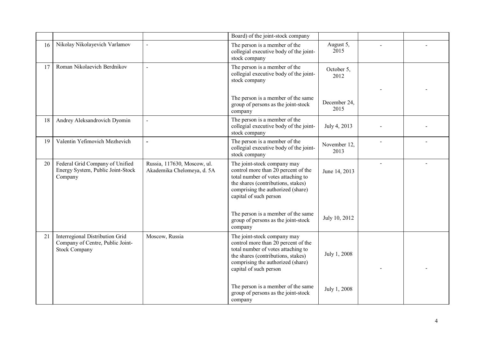|    |                                                                                             |                                                           | Board) of the joint-stock company                                                                                                                                                                             |                      |                |  |
|----|---------------------------------------------------------------------------------------------|-----------------------------------------------------------|---------------------------------------------------------------------------------------------------------------------------------------------------------------------------------------------------------------|----------------------|----------------|--|
| 16 | Nikolay Nikolayevich Varlamov                                                               | $\overline{a}$                                            | The person is a member of the<br>collegial executive body of the joint-<br>stock company                                                                                                                      | August 5,<br>2015    |                |  |
| 17 | Roman Nikolaevich Berdnikov                                                                 | $\overline{a}$                                            | The person is a member of the<br>collegial executive body of the joint-<br>stock company                                                                                                                      | October 5,<br>2012   |                |  |
|    |                                                                                             |                                                           |                                                                                                                                                                                                               |                      |                |  |
|    |                                                                                             |                                                           | The person is a member of the same<br>group of persons as the joint-stock<br>company                                                                                                                          | December 24,<br>2015 |                |  |
| 18 | Andrey Aleksandrovich Dyomin                                                                | $\blacksquare$                                            | The person is a member of the<br>collegial executive body of the joint-<br>stock company                                                                                                                      | July 4, 2013         |                |  |
| 19 | Valentin Yefimovich Mezhevich                                                               | $\overline{a}$                                            | The person is a member of the<br>collegial executive body of the joint-<br>stock company                                                                                                                      | November 12,<br>2013 |                |  |
| 20 | Federal Grid Company of Unified<br>Energy System, Public Joint-Stock<br>Company             | Russia, 117630, Moscow, ul.<br>Akademika Chelomeya, d. 5A | The joint-stock company may<br>control more than 20 percent of the<br>total number of votes attaching to<br>the shares (contributions, stakes)<br>comprising the authorized (share)<br>capital of such person | June 14, 2013        | $\overline{a}$ |  |
|    |                                                                                             |                                                           | The person is a member of the same<br>group of persons as the joint-stock<br>company                                                                                                                          | July 10, 2012        |                |  |
| 21 | Interregional Distribution Grid<br>Company of Centre, Public Joint-<br><b>Stock Company</b> | Moscow, Russia                                            | The joint-stock company may<br>control more than 20 percent of the<br>total number of votes attaching to<br>the shares (contributions, stakes)<br>comprising the authorized (share)<br>capital of such person | July 1, 2008         |                |  |
|    |                                                                                             |                                                           | The person is a member of the same<br>group of persons as the joint-stock<br>company                                                                                                                          | July 1, 2008         |                |  |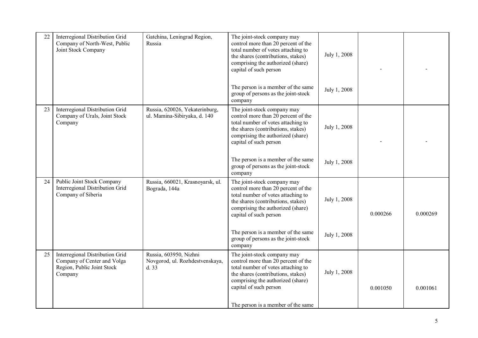| 22 | Interregional Distribution Grid<br>Company of North-West, Public<br>Joint Stock Company                 | Gatchina, Leningrad Region,<br>Russia                             | The joint-stock company may<br>control more than 20 percent of the<br>total number of votes attaching to<br>the shares (contributions, stakes)<br>comprising the authorized (share)<br>capital of such person | July 1, 2008 |          |          |
|----|---------------------------------------------------------------------------------------------------------|-------------------------------------------------------------------|---------------------------------------------------------------------------------------------------------------------------------------------------------------------------------------------------------------|--------------|----------|----------|
|    |                                                                                                         |                                                                   | The person is a member of the same<br>group of persons as the joint-stock<br>company                                                                                                                          | July 1, 2008 |          |          |
| 23 | Interregional Distribution Grid<br>Company of Urals, Joint Stock<br>Company                             | Russia, 620026, Yekaterinburg,<br>ul. Mamina-Sibiryaka, d. 140    | The joint-stock company may<br>control more than 20 percent of the<br>total number of votes attaching to<br>the shares (contributions, stakes)<br>comprising the authorized (share)<br>capital of such person | July 1, 2008 |          |          |
|    |                                                                                                         |                                                                   | The person is a member of the same<br>group of persons as the joint-stock<br>company                                                                                                                          | July 1, 2008 |          |          |
| 24 | Public Joint Stock Company<br>Interregional Distribution Grid<br>Company of Siberia                     | Russia, 660021, Krasnoyarsk, ul.<br>Bograda, 144a                 | The joint-stock company may<br>control more than 20 percent of the<br>total number of votes attaching to<br>the shares (contributions, stakes)<br>comprising the authorized (share)<br>capital of such person | July 1, 2008 | 0.000266 | 0.000269 |
|    |                                                                                                         |                                                                   | The person is a member of the same<br>group of persons as the joint-stock<br>company                                                                                                                          | July 1, 2008 |          |          |
| 25 | Interregional Distribution Grid<br>Company of Center and Volga<br>Region, Public Joint Stock<br>Company | Russia, 603950, Nizhni<br>Novgorod, ul. Rozhdestvenskaya,<br>d.33 | The joint-stock company may<br>control more than 20 percent of the<br>total number of votes attaching to<br>the shares (contributions, stakes)<br>comprising the authorized (share)<br>capital of such person | July 1, 2008 | 0.001050 | 0.001061 |
|    |                                                                                                         |                                                                   | The person is a member of the same                                                                                                                                                                            |              |          |          |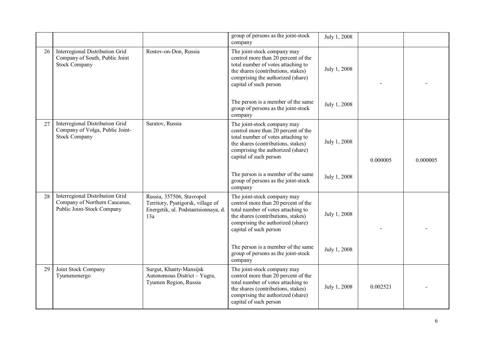|    |                                                                                                |                                                                                                              | group of persons as the joint-stock<br>company                                                                                                                                                                | July 1, 2008 |          |          |
|----|------------------------------------------------------------------------------------------------|--------------------------------------------------------------------------------------------------------------|---------------------------------------------------------------------------------------------------------------------------------------------------------------------------------------------------------------|--------------|----------|----------|
| 26 | Interregional Distribution Grid<br>Company of South, Public Joint<br><b>Stock Company</b>      | Rostov-on-Don, Russia                                                                                        | The joint-stock company may<br>control more than 20 percent of the<br>total number of votes attaching to<br>the shares (contributions, stakes)<br>comprising the authorized (share)<br>capital of such person | July 1, 2008 |          |          |
|    |                                                                                                |                                                                                                              | The person is a member of the same<br>group of persons as the joint-stock<br>company                                                                                                                          | July 1, 2008 |          |          |
| 27 | Interregional Distribution Grid<br>Company of Volga, Public Joint-<br><b>Stock Company</b>     | Saratov, Russia                                                                                              | The joint-stock company may<br>control more than 20 percent of the<br>total number of votes attaching to<br>the shares (contributions, stakes)<br>comprising the authorized (share)<br>capital of such person | July 1, 2008 | 0.000005 | 0.000005 |
|    |                                                                                                |                                                                                                              | The person is a member of the same<br>group of persons as the joint-stock<br>company                                                                                                                          | July 1, 2008 |          |          |
| 28 | Interregional Distribution Grid<br>Company of Northern Caucasus,<br>Public Joint-Stock Company | Russia, 357506, Stavropol<br>Territory, Pyatigorsk, village of<br>Energetik, ul. Podstantsionnaya, d.<br>13a | The joint-stock company may<br>control more than 20 percent of the<br>total number of votes attaching to<br>the shares (contributions, stakes)<br>comprising the authorized (share)<br>capital of such person | July 1, 2008 |          |          |
|    |                                                                                                |                                                                                                              | The person is a member of the same<br>group of persons as the joint-stock<br>company                                                                                                                          | July 1, 2008 |          |          |
| 29 | Joint Stock Company<br>Tyumenenergo                                                            | Surgut, Khanty-Mansijsk<br>Autonomous District - Yugra,<br>Tyumen Region, Russia                             | The joint-stock company may<br>control more than 20 percent of the<br>total number of votes attaching to<br>the shares (contributions, stakes)<br>comprising the authorized (share)<br>capital of such person | July 1, 2008 | 0.002521 |          |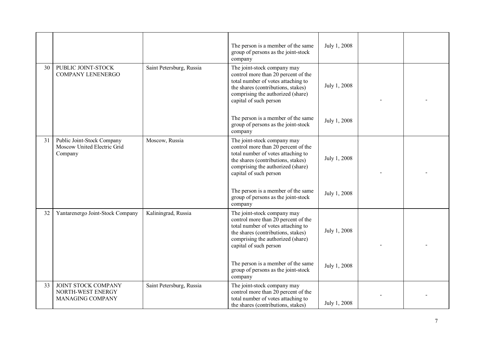|    |                                                                      |                          | The person is a member of the same<br>group of persons as the joint-stock<br>company                                                                                                                          | July 1, 2008 |  |
|----|----------------------------------------------------------------------|--------------------------|---------------------------------------------------------------------------------------------------------------------------------------------------------------------------------------------------------------|--------------|--|
| 30 | PUBLIC JOINT-STOCK<br>COMPANY LENENERGO                              | Saint Petersburg, Russia | The joint-stock company may<br>control more than 20 percent of the<br>total number of votes attaching to<br>the shares (contributions, stakes)<br>comprising the authorized (share)<br>capital of such person | July 1, 2008 |  |
|    |                                                                      |                          | The person is a member of the same<br>group of persons as the joint-stock<br>company                                                                                                                          | July 1, 2008 |  |
| 31 | Public Joint-Stock Company<br>Moscow United Electric Grid<br>Company | Moscow, Russia           | The joint-stock company may<br>control more than 20 percent of the<br>total number of votes attaching to<br>the shares (contributions, stakes)<br>comprising the authorized (share)<br>capital of such person | July 1, 2008 |  |
|    |                                                                      |                          | The person is a member of the same<br>group of persons as the joint-stock<br>company                                                                                                                          | July 1, 2008 |  |
| 32 | Yantarenergo Joint-Stock Company                                     | Kaliningrad, Russia      | The joint-stock company may<br>control more than 20 percent of the<br>total number of votes attaching to<br>the shares (contributions, stakes)<br>comprising the authorized (share)<br>capital of such person | July 1, 2008 |  |
|    |                                                                      |                          | The person is a member of the same<br>group of persons as the joint-stock<br>company                                                                                                                          | July 1, 2008 |  |
| 33 | JOINT STOCK COMPANY<br>NORTH-WEST ENERGY<br>MANAGING COMPANY         | Saint Petersburg, Russia | The joint-stock company may<br>control more than 20 percent of the<br>total number of votes attaching to<br>the shares (contributions, stakes)                                                                | July 1, 2008 |  |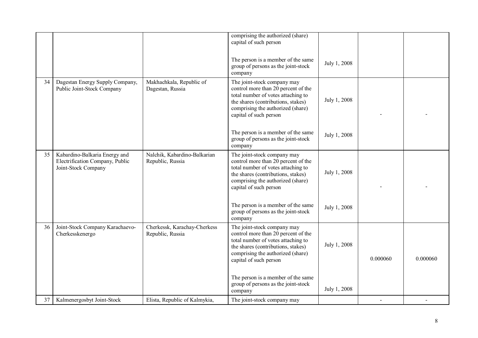|    |                                                                                         |                                                  | comprising the authorized (share)<br>capital of such person                                                                                                                                                   |              |          |          |
|----|-----------------------------------------------------------------------------------------|--------------------------------------------------|---------------------------------------------------------------------------------------------------------------------------------------------------------------------------------------------------------------|--------------|----------|----------|
|    |                                                                                         |                                                  | The person is a member of the same<br>group of persons as the joint-stock<br>company                                                                                                                          | July 1, 2008 |          |          |
| 34 | Dagestan Energy Supply Company,<br>Public Joint-Stock Company                           | Makhachkala, Republic of<br>Dagestan, Russia     | The joint-stock company may<br>control more than 20 percent of the<br>total number of votes attaching to<br>the shares (contributions, stakes)<br>comprising the authorized (share)<br>capital of such person | July 1, 2008 |          |          |
|    |                                                                                         |                                                  | The person is a member of the same<br>group of persons as the joint-stock<br>company                                                                                                                          | July 1, 2008 |          |          |
| 35 | Kabardino-Balkaria Energy and<br>Electrification Company, Public<br>Joint-Stock Company | Nalchik, Kabardino-Balkarian<br>Republic, Russia | The joint-stock company may<br>control more than 20 percent of the<br>total number of votes attaching to<br>the shares (contributions, stakes)<br>comprising the authorized (share)<br>capital of such person | July 1, 2008 |          |          |
|    |                                                                                         |                                                  | The person is a member of the same<br>group of persons as the joint-stock<br>company                                                                                                                          | July 1, 2008 |          |          |
| 36 | Joint-Stock Company Karachaevo-<br>Cherkesskenergo                                      | Cherkessk, Karachay-Cherkess<br>Republic, Russia | The joint-stock company may<br>control more than 20 percent of the<br>total number of votes attaching to<br>the shares (contributions, stakes)<br>comprising the authorized (share)<br>capital of such person | July 1, 2008 | 0.000060 | 0.000060 |
|    |                                                                                         |                                                  | The person is a member of the same<br>group of persons as the joint-stock<br>company                                                                                                                          | July 1, 2008 |          |          |
| 37 | Kalmenergosbyt Joint-Stock                                                              | Elista, Republic of Kalmykia,                    | The joint-stock company may                                                                                                                                                                                   |              |          |          |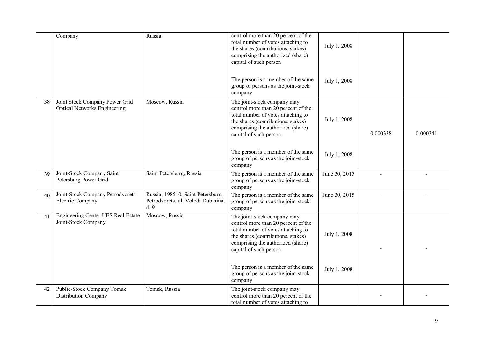|    | Company                                                               | Russia                                                                         | control more than 20 percent of the<br>total number of votes attaching to<br>the shares (contributions, stakes)<br>comprising the authorized (share)<br>capital of such person                                | July 1, 2008  |                |          |
|----|-----------------------------------------------------------------------|--------------------------------------------------------------------------------|---------------------------------------------------------------------------------------------------------------------------------------------------------------------------------------------------------------|---------------|----------------|----------|
|    |                                                                       |                                                                                | The person is a member of the same<br>group of persons as the joint-stock<br>company                                                                                                                          | July 1, 2008  |                |          |
| 38 | Joint Stock Company Power Grid<br><b>Optical Networks Engineering</b> | Moscow, Russia                                                                 | The joint-stock company may<br>control more than 20 percent of the<br>total number of votes attaching to<br>the shares (contributions, stakes)<br>comprising the authorized (share)<br>capital of such person | July 1, 2008  | 0.000338       | 0.000341 |
|    |                                                                       |                                                                                | The person is a member of the same<br>group of persons as the joint-stock<br>company                                                                                                                          | July 1, 2008  |                |          |
| 39 | Joint-Stock Company Saint<br>Petersburg Power Grid                    | Saint Petersburg, Russia                                                       | The person is a member of the same<br>group of persons as the joint-stock<br>company                                                                                                                          | June 30, 2015 |                |          |
| 40 | Joint-Stock Company Petrodvorets<br>Electric Company                  | Russia, 198510, Saint Petersburg,<br>Petrodvorets, ul. Volodi Dubinina,<br>d.9 | The person is a member of the same<br>group of persons as the joint-stock<br>company                                                                                                                          | June 30, 2015 | $\blacksquare$ |          |
| 41 | <b>Engineering Center UES Real Estate</b><br>Joint-Stock Company      | Moscow, Russia                                                                 | The joint-stock company may<br>control more than 20 percent of the<br>total number of votes attaching to<br>the shares (contributions, stakes)<br>comprising the authorized (share)<br>capital of such person | July 1, 2008  |                |          |
|    |                                                                       |                                                                                | The person is a member of the same<br>group of persons as the joint-stock<br>company                                                                                                                          | July 1, 2008  |                |          |
| 42 | Public-Stock Company Tomsk<br>Distribution Company                    | Tomsk, Russia                                                                  | The joint-stock company may<br>control more than 20 percent of the<br>total number of votes attaching to                                                                                                      |               |                |          |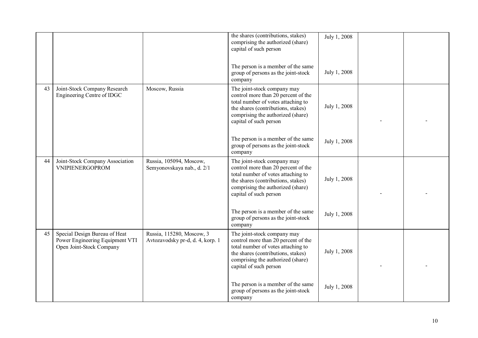|    |                                                                                              |                                                               | the shares (contributions, stakes)<br>comprising the authorized (share)<br>capital of such person                                                                                                             | July 1, 2008 |  |
|----|----------------------------------------------------------------------------------------------|---------------------------------------------------------------|---------------------------------------------------------------------------------------------------------------------------------------------------------------------------------------------------------------|--------------|--|
|    |                                                                                              |                                                               | The person is a member of the same<br>group of persons as the joint-stock<br>company                                                                                                                          | July 1, 2008 |  |
| 43 | Joint-Stock Company Research<br>Engineering Centre of IDGC                                   | Moscow, Russia                                                | The joint-stock company may<br>control more than 20 percent of the<br>total number of votes attaching to<br>the shares (contributions, stakes)<br>comprising the authorized (share)<br>capital of such person | July 1, 2008 |  |
|    |                                                                                              |                                                               | The person is a member of the same<br>group of persons as the joint-stock<br>company                                                                                                                          | July 1, 2008 |  |
| 44 | Joint-Stock Company Association<br><b>VNIPIENERGOPROM</b>                                    | Russia, 105094, Moscow,<br>Semyonovskaya nab., d. 2/1         | The joint-stock company may<br>control more than 20 percent of the<br>total number of votes attaching to<br>the shares (contributions, stakes)<br>comprising the authorized (share)<br>capital of such person | July 1, 2008 |  |
|    |                                                                                              |                                                               | The person is a member of the same<br>group of persons as the joint-stock<br>company                                                                                                                          | July 1, 2008 |  |
| 45 | Special Design Bureau of Heat<br>Power Engineering Equipment VTI<br>Open Joint-Stock Company | Russia, 115280, Moscow, 3<br>Avtozavodsky pr-d, d. 4, korp. 1 | The joint-stock company may<br>control more than 20 percent of the<br>total number of votes attaching to<br>the shares (contributions, stakes)<br>comprising the authorized (share)<br>capital of such person | July 1, 2008 |  |
|    |                                                                                              |                                                               | The person is a member of the same<br>group of persons as the joint-stock<br>company                                                                                                                          | July 1, 2008 |  |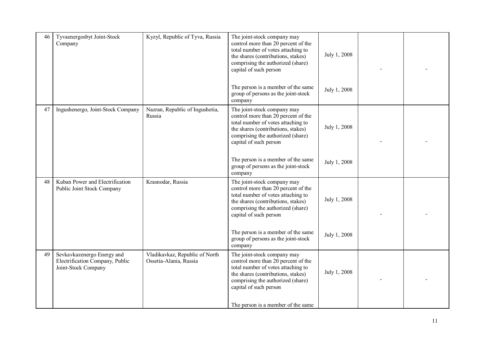| 46 | Tyvaenergosbyt Joint-Stock<br>Company                                                | Kyzyl, Republic of Tyva, Russia                          | The joint-stock company may<br>control more than 20 percent of the<br>total number of votes attaching to<br>the shares (contributions, stakes)<br>comprising the authorized (share)<br>capital of such person | July 1, 2008 |  |
|----|--------------------------------------------------------------------------------------|----------------------------------------------------------|---------------------------------------------------------------------------------------------------------------------------------------------------------------------------------------------------------------|--------------|--|
|    |                                                                                      |                                                          | The person is a member of the same<br>group of persons as the joint-stock<br>company                                                                                                                          | July 1, 2008 |  |
| 47 | Ingushenergo, Joint-Stock Company                                                    | Nazran, Republic of Ingushetia,<br>Russia                | The joint-stock company may<br>control more than 20 percent of the<br>total number of votes attaching to<br>the shares (contributions, stakes)<br>comprising the authorized (share)<br>capital of such person | July 1, 2008 |  |
|    |                                                                                      |                                                          | The person is a member of the same<br>group of persons as the joint-stock<br>company                                                                                                                          | July 1, 2008 |  |
| 48 | Kuban Power and Electrification<br>Public Joint Stock Company                        | Krasnodar, Russia                                        | The joint-stock company may<br>control more than 20 percent of the<br>total number of votes attaching to<br>the shares (contributions, stakes)<br>comprising the authorized (share)<br>capital of such person | July 1, 2008 |  |
|    |                                                                                      |                                                          | The person is a member of the same<br>group of persons as the joint-stock<br>company                                                                                                                          | July 1, 2008 |  |
| 49 | Sevkavkazenergo Energy and<br>Electrification Company, Public<br>Joint-Stock Company | Vladikavkaz, Republic of North<br>Ossetia-Alania, Russia | The joint-stock company may<br>control more than 20 percent of the<br>total number of votes attaching to<br>the shares (contributions, stakes)<br>comprising the authorized (share)<br>capital of such person | July 1, 2008 |  |
|    |                                                                                      |                                                          | The person is a member of the same                                                                                                                                                                            |              |  |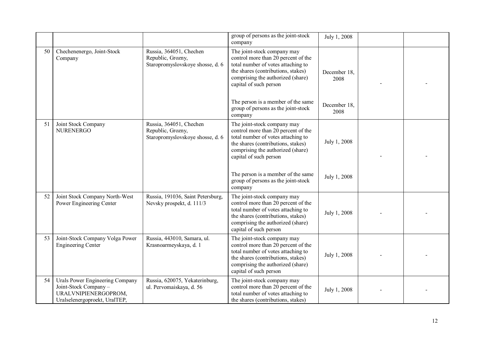|    |                                                                                                                  |                                                                                  | group of persons as the joint-stock<br>company                                                                                                                                                                                                      | July 1, 2008         |  |
|----|------------------------------------------------------------------------------------------------------------------|----------------------------------------------------------------------------------|-----------------------------------------------------------------------------------------------------------------------------------------------------------------------------------------------------------------------------------------------------|----------------------|--|
| 50 | Chechenenergo, Joint-Stock<br>Company                                                                            | Russia, 364051, Chechen<br>Republic, Grozny,<br>Staropromyslovskoye shosse, d. 6 | The joint-stock company may<br>control more than 20 percent of the<br>total number of votes attaching to<br>the shares (contributions, stakes)<br>comprising the authorized (share)<br>capital of such person<br>The person is a member of the same | December 18.<br>2008 |  |
|    |                                                                                                                  |                                                                                  | group of persons as the joint-stock<br>company                                                                                                                                                                                                      | December 18.<br>2008 |  |
| 51 | Joint Stock Company<br><b>NURENERGO</b>                                                                          | Russia, 364051, Chechen<br>Republic, Grozny,<br>Staropromyslovskoye shosse, d. 6 | The joint-stock company may<br>control more than 20 percent of the<br>total number of votes attaching to<br>the shares (contributions, stakes)<br>comprising the authorized (share)<br>capital of such person                                       | July 1, 2008         |  |
|    |                                                                                                                  |                                                                                  | The person is a member of the same<br>group of persons as the joint-stock<br>company                                                                                                                                                                | July 1, 2008         |  |
| 52 | Joint Stock Company North-West<br>Power Engineering Center                                                       | Russia, 191036, Saint Petersburg,<br>Nevsky prospekt, d. 111/3                   | The joint-stock company may<br>control more than 20 percent of the<br>total number of votes attaching to<br>the shares (contributions, stakes)<br>comprising the authorized (share)<br>capital of such person                                       | July 1, 2008         |  |
| 53 | Joint-Stock Company Volga Power<br><b>Engineering Center</b>                                                     | Russia, 443010, Samara, ul.<br>Krasnoarmeyskaya, d. 1                            | The joint-stock company may<br>control more than 20 percent of the<br>total number of votes attaching to<br>the shares (contributions, stakes)<br>comprising the authorized (share)<br>capital of such person                                       | July 1, 2008         |  |
| 54 | Urals Power Engineering Company<br>Joint-Stock Company-<br>URALVNIPIENERGOPROM,<br>Uralselenergoproekt, UralTEP, | Russia, 620075, Yekaterinburg,<br>ul. Pervomaiskaya, d. 56                       | The joint-stock company may<br>control more than 20 percent of the<br>total number of votes attaching to<br>the shares (contributions, stakes)                                                                                                      | July 1, 2008         |  |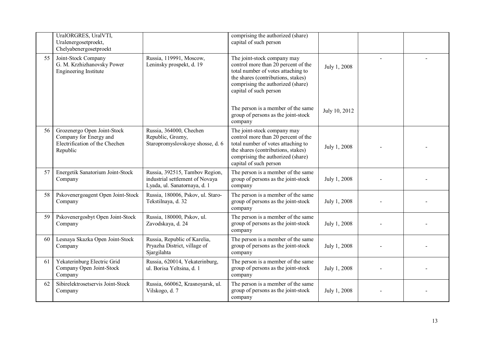|    | UralORGRES, UralVTI,<br>Uralenergosetproekt,<br>Chelyabenergosetproekt                              |                                                                                                   | comprising the authorized (share)<br>capital of such person                                                                                                                                                   |               |  |
|----|-----------------------------------------------------------------------------------------------------|---------------------------------------------------------------------------------------------------|---------------------------------------------------------------------------------------------------------------------------------------------------------------------------------------------------------------|---------------|--|
| 55 | Joint-Stock Company<br>G. M. Krzhizhanovsky Power<br>Engineering Institute                          | Russia, 119991, Moscow,<br>Leninsky prospekt, d. 19                                               | The joint-stock company may<br>control more than 20 percent of the<br>total number of votes attaching to<br>the shares (contributions, stakes)<br>comprising the authorized (share)<br>capital of such person | July 1, 2008  |  |
|    |                                                                                                     |                                                                                                   | The person is a member of the same<br>group of persons as the joint-stock<br>company                                                                                                                          | July 10, 2012 |  |
| 56 | Grozenergo Open Joint-Stock<br>Company for Energy and<br>Electrification of the Chechen<br>Republic | Russia, 364000, Chechen<br>Republic, Grozny,<br>Staropromyslovskoye shosse, d. 6                  | The joint-stock company may<br>control more than 20 percent of the<br>total number of votes attaching to<br>the shares (contributions, stakes)<br>comprising the authorized (share)<br>capital of such person | July 1, 2008  |  |
| 57 | Energetik Sanatorium Joint-Stock<br>Company                                                         | Russia, 392515, Tambov Region,<br>industrial settlement of Novaya<br>Lyada, ul. Sanatornaya, d. 1 | The person is a member of the same<br>group of persons as the joint-stock<br>company                                                                                                                          | July 1, 2008  |  |
| 58 | Pskovenergoagent Open Joint-Stock<br>Company                                                        | Russia, 180006, Pskov, ul. Staro-<br>Tekstilnaya, d. 32                                           | The person is a member of the same<br>group of persons as the joint-stock<br>company                                                                                                                          | July 1, 2008  |  |
| 59 | Pskovenergosbyt Open Joint-Stock<br>Company                                                         | Russia, 180000, Pskov, ul.<br>Zavodskaya, d. 24                                                   | The person is a member of the same<br>group of persons as the joint-stock<br>company                                                                                                                          | July 1, 2008  |  |
| 60 | Lesnaya Skazka Open Joint-Stock<br>Company                                                          | Russia, Republic of Karelia,<br>Pryazha District, village of<br>Sjargilahta                       | The person is a member of the same<br>group of persons as the joint-stock<br>company                                                                                                                          | July 1, 2008  |  |
| 61 | Yekaterinburg Electric Grid<br>Company Open Joint-Stock<br>Company                                  | Russia, 620014, Yekaterinburg,<br>ul. Borisa Yeltsina, d. 1                                       | The person is a member of the same<br>group of persons as the joint-stock<br>company                                                                                                                          | July 1, 2008  |  |
| 62 | Sibirelektrosetservis Joint-Stock<br>Company                                                        | Russia, 660062, Krasnoyarsk, ul.<br>Vilskogo, d. 7                                                | The person is a member of the same<br>group of persons as the joint-stock<br>company                                                                                                                          | July 1, 2008  |  |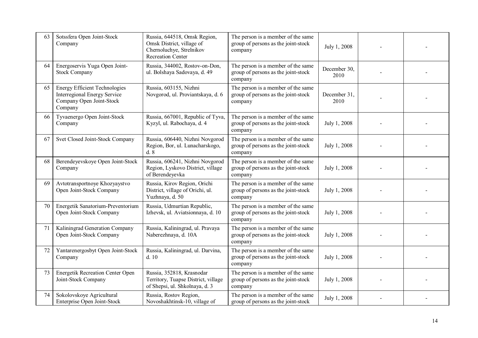| 63 | Sotssfera Open Joint-Stock<br>Company                                                                              | Russia, 644518, Omsk Region,<br>Omsk District, village of<br>Chernoluchye, Strelnikov<br><b>Recreation Center</b> | The person is a member of the same<br>group of persons as the joint-stock<br>company | July 1, 2008         |  |
|----|--------------------------------------------------------------------------------------------------------------------|-------------------------------------------------------------------------------------------------------------------|--------------------------------------------------------------------------------------|----------------------|--|
| 64 | Energoservis Yuga Open Joint-<br><b>Stock Company</b>                                                              | Russia, 344002, Rostov-on-Don,<br>ul. Bolshaya Sadovaya, d. 49                                                    | The person is a member of the same<br>group of persons as the joint-stock<br>company | December 30,<br>2010 |  |
| 65 | <b>Energy Efficient Technologies</b><br><b>Interregional Energy Service</b><br>Company Open Joint-Stock<br>Company | Russia, 603155, Nizhni<br>Novgorod, ul. Proviantskaya, d. 6                                                       | The person is a member of the same<br>group of persons as the joint-stock<br>company | December 31,<br>2010 |  |
| 66 | Tyvaenergo Open Joint-Stock<br>Company                                                                             | Russia, 667001, Republic of Tyva,<br>Kyzyl, ul. Rabochaya, d. 4                                                   | The person is a member of the same<br>group of persons as the joint-stock<br>company | July 1, 2008         |  |
| 67 | Svet Closed Joint-Stock Company                                                                                    | Russia, 606440, Nizhni Novgorod<br>Region, Bor, ul. Lunacharskogo,<br>$d.\overline{8}$                            | The person is a member of the same<br>group of persons as the joint-stock<br>company | July 1, 2008         |  |
| 68 | Berendeyevskoye Open Joint-Stock<br>Company                                                                        | Russia, 606241, Nizhni Novgorod<br>Region, Lyskovo District, village<br>of Berendeyevka                           | The person is a member of the same<br>group of persons as the joint-stock<br>company | July 1, 2008         |  |
| 69 | Avtotransportnoye Khozyaystvo<br>Open Joint-Stock Company                                                          | Russia, Kirov Region, Orichi<br>District, village of Orichi, ul.<br>Yuzhnaya, d. 50                               | The person is a member of the same<br>group of persons as the joint-stock<br>company | July 1, 2008         |  |
| 70 | Energetik Sanatorium-Preventorium<br>Open Joint-Stock Company                                                      | Russia, Udmurtian Republic,<br>Izhevsk, ul. Aviatsionnaya, d. 10                                                  | The person is a member of the same<br>group of persons as the joint-stock<br>company | July 1, 2008         |  |
| 71 | Kaliningrad Generation Company<br>Open Joint-Stock Company                                                         | Russia, Kaliningrad, ul. Pravaya<br>Naberezhnaya, d. 10A                                                          | The person is a member of the same<br>group of persons as the joint-stock<br>company | July 1, 2008         |  |
| 72 | Yantarenergosbyt Open Joint-Stock<br>Company                                                                       | Russia, Kaliningrad, ul. Darvina,<br>d.10                                                                         | The person is a member of the same<br>group of persons as the joint-stock<br>company | July 1, 2008         |  |
| 73 | <b>Energetik Recreation Center Open</b><br>Joint-Stock Company                                                     | Russia, 352818, Krasnodar<br>Territory, Tuapse District, village<br>of Shepsi, ul. Shkolnaya, d. 3                | The person is a member of the same<br>group of persons as the joint-stock<br>company | July 1, 2008         |  |
| 74 | Sokolovskoye Agricultural<br>Enterprise Open Joint-Stock                                                           | Russia, Rostov Region,<br>Novoshakhtinsk-10, village of                                                           | The person is a member of the same<br>group of persons as the joint-stock            | July 1, 2008         |  |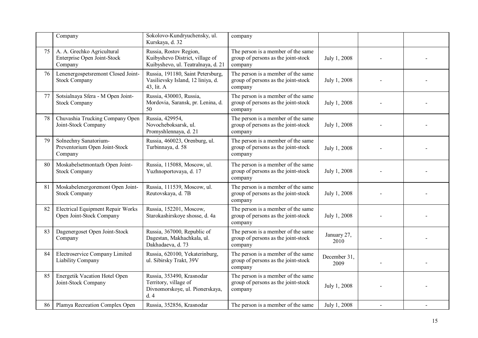|    | Company                                                              | Sokolovo-Kundryuchensky, ul.<br>Kurskaya, d. 32                                                 | company                                                                              |                      |  |
|----|----------------------------------------------------------------------|-------------------------------------------------------------------------------------------------|--------------------------------------------------------------------------------------|----------------------|--|
| 75 | A. A. Grechko Agricultural<br>Enterprise Open Joint-Stock<br>Company | Russia, Rostov Region,<br>Kuibyshevo District, village of<br>Kuibyshevo, ul. Teatralnaya, d. 21 | The person is a member of the same<br>group of persons as the joint-stock<br>company | July 1, 2008         |  |
| 76 | Lenenergospetsremont Closed Joint-<br><b>Stock Company</b>           | Russia, 191180, Saint Petersburg,<br>Vasilievsky Island, 12 liniya, d.<br>43, lit. A            | The person is a member of the same<br>group of persons as the joint-stock<br>company | July 1, 2008         |  |
| 77 | Sotsialnaya Sfera - M Open Joint-<br><b>Stock Company</b>            | Russia, 430003, Russia,<br>Mordovia, Saransk, pr. Lenina, d.<br>50                              | The person is a member of the same<br>group of persons as the joint-stock<br>company | July 1, 2008         |  |
| 78 | Chuvashia Trucking Company Open<br>Joint-Stock Company               | Russia, 429954,<br>Novocheboksarsk, ul.<br>Promyshlennaya, d. 21                                | The person is a member of the same<br>group of persons as the joint-stock<br>company | July 1, 2008         |  |
| 79 | Solnechny Sanatorium-<br>Preventorium Open Joint-Stock<br>Company    | Russia, 460023, Orenburg, ul.<br>Turbinnaya, d. 58                                              | The person is a member of the same<br>group of persons as the joint-stock<br>company | July 1, 2008         |  |
| 80 | Moskabelsetmontazh Open Joint-<br><b>Stock Company</b>               | Russia, 115088, Moscow, ul.<br>Yuzhnoportovaya, d. 17                                           | The person is a member of the same<br>group of persons as the joint-stock<br>company | July 1, 2008         |  |
| 81 | Moskabelenergoremont Open Joint-<br><b>Stock Company</b>             | Russia, 111539, Moscow, ul.<br>Reutovskaya, d. 7B                                               | The person is a member of the same<br>group of persons as the joint-stock<br>company | July 1, 2008         |  |
| 82 | <b>Electrical Equipment Repair Works</b><br>Open Joint-Stock Company | Russia, 152201, Moscow,<br>Starokashirskoye shosse, d. 4a                                       | The person is a member of the same<br>group of persons as the joint-stock<br>company | July 1, 2008         |  |
| 83 | Dagenergoset Open Joint-Stock<br>Company                             | Russia, 367000, Republic of<br>Dagestan, Makhachkala, ul.<br>Dakhadaeva, d. 73                  | The person is a member of the same<br>group of persons as the joint-stock<br>company | January 27,<br>2010  |  |
| 84 | Electroservice Company Limited<br>Liability Company                  | Russia, 620100, Yekaterinburg,<br>ul. Sibirsky Trakt, 39V                                       | The person is a member of the same<br>group of persons as the joint-stock<br>company | December 31,<br>2009 |  |
| 85 | Energetik Vacation Hotel Open<br>Joint-Stock Company                 | Russia, 353490, Krasnodar<br>Territory, village of<br>Divnomorskoye, ul. Pionerskaya,<br>d.4    | The person is a member of the same<br>group of persons as the joint-stock<br>company | July 1, 2008         |  |
| 86 | Plamya Recreation Complex Open                                       | Russia, 352856, Krasnodar                                                                       | The person is a member of the same                                                   | July 1, 2008         |  |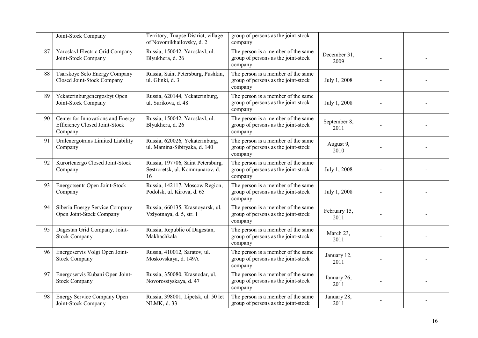|    | Joint-Stock Company                                                           | Territory, Tuapse District, village<br>of Novomikhailovsky, d. 2           | group of persons as the joint-stock<br>company                                       |                      |  |
|----|-------------------------------------------------------------------------------|----------------------------------------------------------------------------|--------------------------------------------------------------------------------------|----------------------|--|
| 87 | Yaroslavl Electric Grid Company<br>Joint-Stock Company                        | Russia, 150042, Yaroslavl, ul.<br>Blyukhera, d. 26                         | The person is a member of the same<br>group of persons as the joint-stock<br>company | December 31.<br>2009 |  |
| 88 | Tsarskoye Selo Energy Company<br>Closed Joint-Stock Company                   | Russia, Saint Petersburg, Pushkin,<br>ul. Glinki, d. 3                     | The person is a member of the same<br>group of persons as the joint-stock<br>company | July 1, 2008         |  |
| 89 | Yekaterinburgenergosbyt Open<br>Joint-Stock Company                           | Russia, 620144, Yekaterinburg,<br>ul. Surikova, d. 48                      | The person is a member of the same<br>group of persons as the joint-stock<br>company | July 1, 2008         |  |
| 90 | Center for Innovations and Energy<br>Efficiency Closed Joint-Stock<br>Company | Russia, 150042, Yaroslavl, ul.<br>Blyukhera, d. 26                         | The person is a member of the same<br>group of persons as the joint-stock<br>company | September 8,<br>2011 |  |
| 91 | Uralenergotrans Limited Liability<br>Company                                  | Russia, 620026, Yekaterinburg,<br>ul. Mamina-Sibiryaka, d. 140             | The person is a member of the same<br>group of persons as the joint-stock<br>company | August 9,<br>2010    |  |
| 92 | Kurortenergo Closed Joint-Stock<br>Company                                    | Russia, 197706, Saint Petersburg,<br>Sestroretsk, ul. Kommunarov, d.<br>16 | The person is a member of the same<br>group of persons as the joint-stock<br>company | July 1, 2008         |  |
| 93 | Energotsentr Open Joint-Stock<br>Company                                      | Russia, 142117, Moscow Region,<br>Podolsk, ul. Kirova, d. 65               | The person is a member of the same<br>group of persons as the joint-stock<br>company | July 1, 2008         |  |
| 94 | Siberia Energy Service Company<br>Open Joint-Stock Company                    | Russia, 660135, Krasnoyarsk, ul.<br>Vzlyotnaya, d. 5, str. 1               | The person is a member of the same<br>group of persons as the joint-stock<br>company | February 15,<br>2011 |  |
| 95 | Dagestan Grid Company, Joint-<br><b>Stock Company</b>                         | Russia, Republic of Dagestan,<br>Makhachkala                               | The person is a member of the same<br>group of persons as the joint-stock<br>company | March 23,<br>2011    |  |
| 96 | Energoservis Volgi Open Joint-<br><b>Stock Company</b>                        | Russia, 410012, Saratov, ul.<br>Moskovskaya, d. 149A                       | The person is a member of the same<br>group of persons as the joint-stock<br>company | January 12,<br>2011  |  |
| 97 | Energoservis Kubani Open Joint-<br><b>Stock Company</b>                       | Russia, 350080, Krasnodar, ul.<br>Novorossiyskaya, d. 47                   | The person is a member of the same<br>group of persons as the joint-stock<br>company | January 26,<br>2011  |  |
| 98 | Energy Service Company Open<br>Joint-Stock Company                            | Russia, 398001, Lipetsk, ul. 50 let<br>NLMK, d. 33                         | The person is a member of the same<br>group of persons as the joint-stock            | January 28,<br>2011  |  |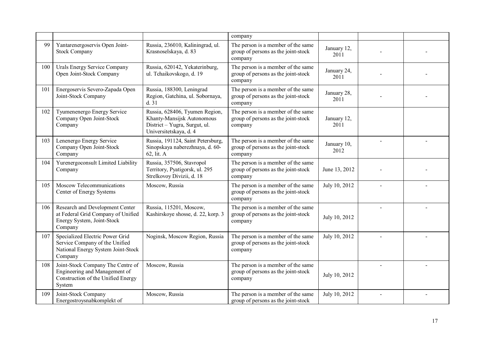|     |                                                                                                                    |                                                                                                                         | company                                                                              |                     |  |
|-----|--------------------------------------------------------------------------------------------------------------------|-------------------------------------------------------------------------------------------------------------------------|--------------------------------------------------------------------------------------|---------------------|--|
| 99  | Yantarenergoservis Open Joint-<br><b>Stock Company</b>                                                             | Russia, 236010, Kaliningrad, ul.<br>Krasnoselskaya, d. 83                                                               | The person is a member of the same<br>group of persons as the joint-stock<br>company | January 12,<br>2011 |  |
| 100 | <b>Urals Energy Service Company</b><br>Open Joint-Stock Company                                                    | Russia, 620142, Yekaterinburg,<br>ul. Tchaikovskogo, d. 19                                                              | The person is a member of the same<br>group of persons as the joint-stock<br>company | January 24,<br>2011 |  |
| 101 | Energoservis Severo-Zapada Open<br>Joint-Stock Company                                                             | Russia, 188300, Leningrad<br>Region, Gatchina, ul. Sobornaya,<br>d.31                                                   | The person is a member of the same<br>group of persons as the joint-stock<br>company | January 28,<br>2011 |  |
| 102 | Tyumenenergo Energy Service<br>Company Open Joint-Stock<br>Company                                                 | Russia, 628406, Tyumen Region,<br>Khanty-Mansijsk Autonomous<br>District - Yugra, Surgut, ul.<br>Universitetskaya, d. 4 | The person is a member of the same<br>group of persons as the joint-stock<br>company | January 12,<br>2011 |  |
| 103 | Lenenergo Energy Service<br>Company Open Joint-Stock<br>Company                                                    | Russia, 191124, Saint Petersburg,<br>Sinopskaya naberezhnaya, d. 60-<br>62, lit. A                                      | The person is a member of the same<br>group of persons as the joint-stock<br>company | January 10,<br>2012 |  |
| 104 | Yurenergoconsult Limited Liability<br>Company                                                                      | Russia, 357506, Stavropol<br>Territory, Pyatigorsk, ul. 295<br>Strelkovoy Divizii, d. 18                                | The person is a member of the same<br>group of persons as the joint-stock<br>company | June 13, 2012       |  |
| 105 | Moscow Telecommunications<br>Center of Energy Systems                                                              | Moscow, Russia                                                                                                          | The person is a member of the same<br>group of persons as the joint-stock<br>company | July 10, 2012       |  |
| 106 | Research and Development Center<br>at Federal Grid Company of Unified<br>Energy System, Joint-Stock<br>Company     | Russia, 115201, Moscow,<br>Kashirskoye shosse, d. 22, korp. 3                                                           | The person is a member of the same<br>group of persons as the joint-stock<br>company | July 10, 2012       |  |
| 107 | Specialized Electric Power Grid<br>Service Company of the Unified<br>National Energy System Joint-Stock<br>Company | Noginsk, Moscow Region, Russia                                                                                          | The person is a member of the same<br>group of persons as the joint-stock<br>company | July 10, 2012       |  |
| 108 | Joint-Stock Company The Centre of<br>Engineering and Management of<br>Construction of the Unified Energy<br>System | Moscow, Russia                                                                                                          | The person is a member of the same<br>group of persons as the joint-stock<br>company | July 10, 2012       |  |
| 109 | Joint-Stock Company<br>Energostroysnabkomplekt of                                                                  | Moscow, Russia                                                                                                          | The person is a member of the same<br>group of persons as the joint-stock            | July 10, 2012       |  |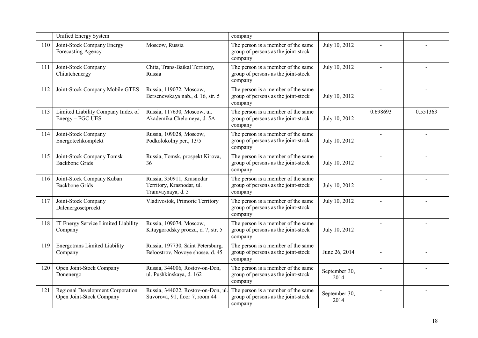|     | Unified Energy System                                        |                                                                             | company                                                                              |                       |          |          |
|-----|--------------------------------------------------------------|-----------------------------------------------------------------------------|--------------------------------------------------------------------------------------|-----------------------|----------|----------|
| 110 | Joint-Stock Company Energy<br>Forecasting Agency             | Moscow, Russia                                                              | The person is a member of the same<br>group of persons as the joint-stock<br>company | July 10, 2012         |          |          |
| 111 | Joint-Stock Company<br>Chitatehenergy                        | Chita, Trans-Baikal Territory,<br>Russia                                    | The person is a member of the same<br>group of persons as the joint-stock<br>company | July 10, 2012         |          |          |
| 112 | Joint-Stock Company Mobile GTES                              | Russia, 119072, Moscow,<br>Bersenevskaya nab., d. 16, str. 5                | The person is a member of the same<br>group of persons as the joint-stock<br>company | July 10, 2012         |          |          |
| 113 | Limited Liability Company Index of<br>Energy - FGC UES       | Russia, 117630, Moscow, ul.<br>Akademika Chelomeya, d. 5A                   | The person is a member of the same<br>group of persons as the joint-stock<br>company | July 10, 2012         | 0.698693 | 0.551363 |
| 114 | Joint-Stock Company<br>Energotechkomplekt                    | Russia, 109028, Moscow,<br>Podkolokolny per., 13/5                          | The person is a member of the same<br>group of persons as the joint-stock<br>company | July 10, 2012         |          |          |
| 115 | Joint-Stock Company Tomsk<br><b>Backbone Grids</b>           | Russia, Tomsk, prospekt Kirova,<br>36                                       | The person is a member of the same<br>group of persons as the joint-stock<br>company | July 10, 2012         |          |          |
| 116 | Joint-Stock Company Kuban<br><b>Backbone Grids</b>           | Russia, 350911, Krasnodar<br>Territory, Krasnodar, ul.<br>Tramvaynaya, d. 5 | The person is a member of the same<br>group of persons as the joint-stock<br>company | July 10, 2012         |          |          |
| 117 | Joint-Stock Company<br>Dalenergosetproekt                    | Vladivostok, Primorie Territory                                             | The person is a member of the same<br>group of persons as the joint-stock<br>company | July 10, 2012         |          |          |
| 118 | IT Energy Service Limited Liability<br>Company               | Russia, 109074, Moscow,<br>Kitaygorodsky proezd, d. 7, str. 5               | The person is a member of the same<br>group of persons as the joint-stock<br>company | July 10, 2012         |          |          |
| 119 | <b>Energotrans Limited Liability</b><br>Company              | Russia, 197730, Saint Petersburg,<br>Beloostrov, Novoye shosse, d. 45       | The person is a member of the same<br>group of persons as the joint-stock<br>company | June 26, 2014         |          |          |
| 120 | Open Joint-Stock Company<br>Donenergo                        | Russia, 344006, Rostov-on-Don,<br>ul. Pushkinskaya, d. 162                  | The person is a member of the same<br>group of persons as the joint-stock<br>company | September 30,<br>2014 |          |          |
| 121 | Regional Development Corporation<br>Open Joint-Stock Company | Russia, 344022, Rostov-on-Don, ul.<br>Suvorova, 91, floor 7, room 44        | The person is a member of the same<br>group of persons as the joint-stock<br>company | September 30,<br>2014 |          |          |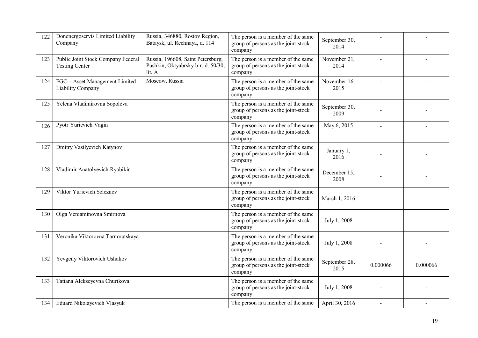| 122 | Donenergoservis Limited Liability<br>Company                | Russia, 346880, Rostov Region,<br>Bataysk, ul. Rechnaya, d. 114                   | The person is a member of the same<br>group of persons as the joint-stock<br>company | September 30,<br>2014 |                |          |
|-----|-------------------------------------------------------------|-----------------------------------------------------------------------------------|--------------------------------------------------------------------------------------|-----------------------|----------------|----------|
| 123 | Public Joint Stock Company Federal<br><b>Testing Center</b> | Russia, 196608, Saint Petersburg,<br>Pushkin, Oktyabrsky b-r, d. 50/30,<br>lit. A | The person is a member of the same<br>group of persons as the joint-stock<br>company | November 21,<br>2014  |                |          |
| 124 | FGC - Asset Management Limited<br>Liability Company         | Moscow, Russia                                                                    | The person is a member of the same<br>group of persons as the joint-stock<br>company | November 16,<br>2015  | $\overline{a}$ |          |
| 125 | Yelena Vladimirovna Sopoleva                                |                                                                                   | The person is a member of the same<br>group of persons as the joint-stock<br>company | September 30,<br>2009 |                |          |
| 126 | Pyotr Yurievich Vagin                                       |                                                                                   | The person is a member of the same<br>group of persons as the joint-stock<br>company | May 6, 2015           |                |          |
| 127 | Dmitry Vasilyevich Katynov                                  |                                                                                   | The person is a member of the same<br>group of persons as the joint-stock<br>company | January 1,<br>2016    |                |          |
| 128 | Vladimir Anatolyevich Ryabikin                              |                                                                                   | The person is a member of the same<br>group of persons as the joint-stock<br>company | December 15,<br>2008  |                |          |
| 129 | Viktor Yurievich Seleznev                                   |                                                                                   | The person is a member of the same<br>group of persons as the joint-stock<br>company | March 1, 2016         |                |          |
| 130 | Olga Veniaminovna Smirnova                                  |                                                                                   | The person is a member of the same<br>group of persons as the joint-stock<br>company | July 1, 2008          |                |          |
| 131 | Veronika Viktorovna Tarnorutskaya                           |                                                                                   | The person is a member of the same<br>group of persons as the joint-stock<br>company | July 1, 2008          |                |          |
| 132 | Yevgeny Viktorovich Ushakov                                 |                                                                                   | The person is a member of the same<br>group of persons as the joint-stock<br>company | September 28,<br>2015 | 0.000066       | 0.000066 |
| 133 | Tatiana Alekseyevna Churikova                               |                                                                                   | The person is a member of the same<br>group of persons as the joint-stock<br>company | July 1, 2008          |                |          |
| 134 | Eduard Nikolayevich Vlasyuk                                 |                                                                                   | The person is a member of the same                                                   | April 30, 2016        |                |          |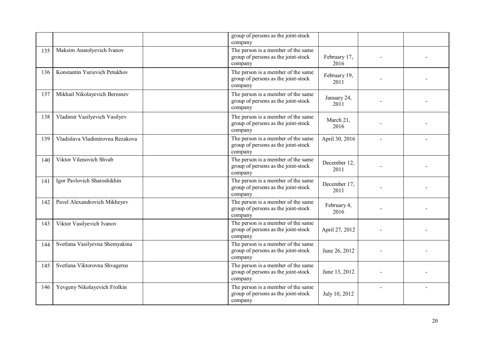|     |                                  | group of persons as the joint-stock<br>company                                       |                      |                |  |
|-----|----------------------------------|--------------------------------------------------------------------------------------|----------------------|----------------|--|
| 135 | Maksim Anatolyevich Ivanov       | The person is a member of the same<br>group of persons as the joint-stock<br>company | February 17,<br>2016 |                |  |
| 136 | Konstantin Yurievich Petukhov    | The person is a member of the same<br>group of persons as the joint-stock<br>company | February 19,<br>2011 |                |  |
| 137 | Mikhail Nikolayevich Beresnev    | The person is a member of the same<br>group of persons as the joint-stock<br>company | January 24,<br>2011  |                |  |
| 138 | Vladimir Vasilyevich Vasilyev    | The person is a member of the same<br>group of persons as the joint-stock<br>company | March 21,<br>2016    |                |  |
| 139 | Vladislava Vladimirovna Rezakova | The person is a member of the same<br>group of persons as the joint-stock<br>company | April 30, 2016       | $\overline{a}$ |  |
| 140 | Viktor Vilenovich Shvab          | The person is a member of the same<br>group of persons as the joint-stock<br>company | December 12,<br>2011 |                |  |
| 141 | Igor Pavlovich Sharoshikhin      | The person is a member of the same<br>group of persons as the joint-stock<br>company | December 17,<br>2011 |                |  |
| 142 | Pavel Alexandrovich Mikheyev     | The person is a member of the same<br>group of persons as the joint-stock<br>company | February 4,<br>2016  |                |  |
| 143 | Viktor Vasilyevich Ivanov        | The person is a member of the same<br>group of persons as the joint-stock<br>company | April 27, 2012       |                |  |
| 144 | Svetlana Vasilyevna Shemyakina   | The person is a member of the same<br>group of persons as the joint-stock<br>company | June 26, 2012        |                |  |
| 145 | Svetlana Viktorovna Shvagerus    | The person is a member of the same<br>group of persons as the joint-stock<br>company | June 13, 2012        |                |  |
| 146 | Yevgeny Nikolayevich Frolkin     | The person is a member of the same<br>group of persons as the joint-stock<br>company | July 10, 2012        |                |  |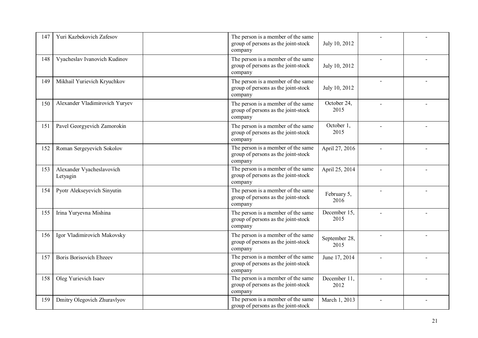| 147 | Yuri Kazbekovich Zafesov              | The person is a member of the same<br>group of persons as the joint-stock<br>company | July 10, 2012         |                |  |
|-----|---------------------------------------|--------------------------------------------------------------------------------------|-----------------------|----------------|--|
| 148 | Vyacheslav Ivanovich Kudinov          | The person is a member of the same<br>group of persons as the joint-stock<br>company | July 10, 2012         |                |  |
| 149 | Mikhail Yurievich Kryuchkov           | The person is a member of the same<br>group of persons as the joint-stock<br>company | July 10, 2012         | $\overline{a}$ |  |
| 150 | Alexander Vladimirovich Yuryev        | The person is a member of the same<br>group of persons as the joint-stock<br>company | October 24,<br>2015   |                |  |
| 151 | Pavel Georgyevich Zamorokin           | The person is a member of the same<br>group of persons as the joint-stock<br>company | October 1,<br>2015    |                |  |
| 152 | Roman Sergeyevich Sokolov             | The person is a member of the same<br>group of persons as the joint-stock<br>company | April 27, 2016        |                |  |
| 153 | Alexander Vyacheslavovich<br>Letyagin | The person is a member of the same<br>group of persons as the joint-stock<br>company | April 25, 2014        |                |  |
| 154 | Pyotr Alekseyevich Sinyutin           | The person is a member of the same<br>group of persons as the joint-stock<br>company | February 5,<br>2016   |                |  |
| 155 | Irina Yuryevna Mishina                | The person is a member of the same<br>group of persons as the joint-stock<br>company | December 15,<br>2015  |                |  |
| 156 | Igor Vladimirovich Makovsky           | The person is a member of the same<br>group of persons as the joint-stock<br>company | September 28,<br>2015 |                |  |
| 157 | <b>Boris Borisovich Ebzeev</b>        | The person is a member of the same<br>group of persons as the joint-stock<br>company | June 17, 2014         |                |  |
| 158 | Oleg Yurievich Isaev                  | The person is a member of the same<br>group of persons as the joint-stock<br>company | December 11,<br>2012  |                |  |
| 159 | Dmitry Olegovich Zhuravlyov           | The person is a member of the same<br>group of persons as the joint-stock            | March 1, 2013         |                |  |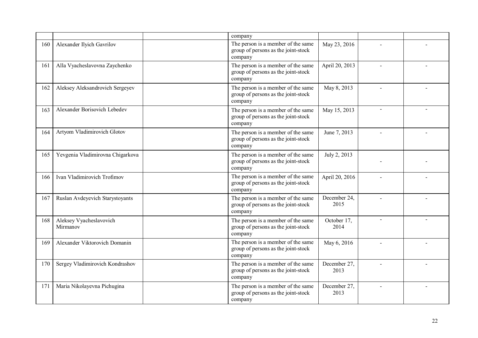|     |                                     | company                                                                              |                      |                          |  |
|-----|-------------------------------------|--------------------------------------------------------------------------------------|----------------------|--------------------------|--|
| 160 | Alexander Ilyich Gavrilov           | The person is a member of the same<br>group of persons as the joint-stock<br>company | May 23, 2016         |                          |  |
| 161 | Alla Vyacheslavovna Zaychenko       | The person is a member of the same<br>group of persons as the joint-stock<br>company | April 20, 2013       |                          |  |
| 162 | Aleksey Aleksandrovich Sergeyev     | The person is a member of the same<br>group of persons as the joint-stock<br>company | May 8, 2013          | $\overline{\phantom{a}}$ |  |
| 163 | Alexander Borisovich Lebedev        | The person is a member of the same<br>group of persons as the joint-stock<br>company | May 15, 2013         | $\overline{\phantom{0}}$ |  |
| 164 | Artyom Vladimirovich Glotov         | The person is a member of the same<br>group of persons as the joint-stock<br>company | June 7, 2013         | $\overline{a}$           |  |
| 165 | Yevgenia Vladimirovna Chigarkova    | The person is a member of the same<br>group of persons as the joint-stock<br>company | July 2, 2013         |                          |  |
| 166 | Ivan Vladimirovich Trofimov         | The person is a member of the same<br>group of persons as the joint-stock<br>company | April 20, 2016       |                          |  |
| 167 | Ruslan Avdeyevich Starystoyants     | The person is a member of the same<br>group of persons as the joint-stock<br>company | December 24,<br>2015 |                          |  |
| 168 | Aleksey Vyacheslavovich<br>Mirmanov | The person is a member of the same<br>group of persons as the joint-stock<br>company | October 17,<br>2014  | $\blacksquare$           |  |
| 169 | Alexander Viktorovich Domanin       | The person is a member of the same<br>group of persons as the joint-stock<br>company | May 6, 2016          |                          |  |
| 170 | Sergey Vladimirovich Kondrashov     | The person is a member of the same<br>group of persons as the joint-stock<br>company | December 27,<br>2013 |                          |  |
| 171 | Maria Nikolayevna Pichugina         | The person is a member of the same<br>group of persons as the joint-stock<br>company | December 27,<br>2013 |                          |  |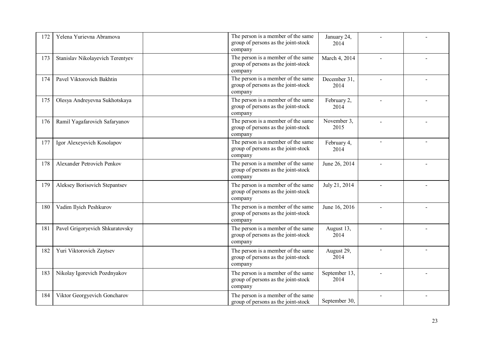| 172 | Yelena Yurievna Abramova         | The person is a member of the same<br>group of persons as the joint-stock<br>company | January 24,<br>2014   |                |  |
|-----|----------------------------------|--------------------------------------------------------------------------------------|-----------------------|----------------|--|
| 173 | Stanislav Nikolayevich Terentyev | The person is a member of the same<br>group of persons as the joint-stock<br>company | March 4, 2014         |                |  |
| 174 | Pavel Viktorovich Bakhtin        | The person is a member of the same<br>group of persons as the joint-stock<br>company | December 31,<br>2014  |                |  |
| 175 | Olesya Andreyevna Sukhotskaya    | The person is a member of the same<br>group of persons as the joint-stock<br>company | February 2,<br>2014   |                |  |
| 176 | Ramil Yagafarovich Safaryanov    | The person is a member of the same<br>group of persons as the joint-stock<br>company | November 3.<br>2015   | $\overline{a}$ |  |
| 177 | Igor Alexeyevich Kosolapov       | The person is a member of the same<br>group of persons as the joint-stock<br>company | February 4,<br>2014   |                |  |
| 178 | Alexander Petrovich Penkov       | The person is a member of the same<br>group of persons as the joint-stock<br>company | June 26, 2014         |                |  |
| 179 | Aleksey Borisovich Stepantsev    | The person is a member of the same<br>group of persons as the joint-stock<br>company | July 21, 2014         |                |  |
| 180 | Vadim Ilyich Peshkurov           | The person is a member of the same<br>group of persons as the joint-stock<br>company | June 16, 2016         |                |  |
| 181 | Pavel Grigoryevich Shkuratovsky  | The person is a member of the same<br>group of persons as the joint-stock<br>company | August 13,<br>2014    |                |  |
| 182 | Yuri Viktorovich Zaytsev         | The person is a member of the same<br>group of persons as the joint-stock<br>company | August 29,<br>2014    |                |  |
| 183 | Nikolay Igorevich Pozdnyakov     | The person is a member of the same<br>group of persons as the joint-stock<br>company | September 13,<br>2014 |                |  |
| 184 | Viktor Georgyevich Goncharov     | The person is a member of the same<br>group of persons as the joint-stock            | September 30,         |                |  |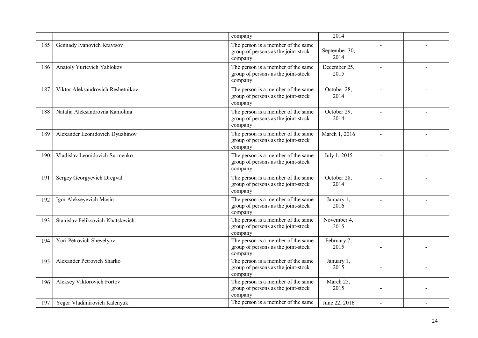|     |                                   | company                                                                              | 2014                  |                          |  |
|-----|-----------------------------------|--------------------------------------------------------------------------------------|-----------------------|--------------------------|--|
| 185 | Gennady Ivanovich Kravtsov        | The person is a member of the same<br>group of persons as the joint-stock<br>company | September 30,<br>2014 |                          |  |
| 186 | Anatoly Yurievich Yablokov        | The person is a member of the same<br>group of persons as the joint-stock<br>company | December 25,<br>2015  |                          |  |
| 187 | Viktor Aleksandrovich Reshetnikov | The person is a member of the same<br>group of persons as the joint-stock<br>company | October 28,<br>2014   |                          |  |
| 188 | Natalia Aleksandrovna Kamolina    | The person is a member of the same<br>group of persons as the joint-stock<br>company | October 29,<br>2014   |                          |  |
| 189 | Alexander Leonidovich Dyuzhinov   | The person is a member of the same<br>group of persons as the joint-stock<br>company | March 1, 2016         |                          |  |
| 190 | Vladislav Leonidovich Surmenko    | The person is a member of the same<br>group of persons as the joint-stock<br>company | July 1, 2015          |                          |  |
| 191 | Sergey Georgyevich Dregval        | The person is a member of the same<br>group of persons as the joint-stock<br>company | October 28,<br>2014   |                          |  |
| 192 | Igor Alekseyevich Mosin           | The person is a member of the same<br>group of persons as the joint-stock<br>company | January 1,<br>2016    |                          |  |
| 193 | Stanislav Feliksovich Khatskevich | The person is a member of the same<br>group of persons as the joint-stock<br>company | November 4,<br>2015   |                          |  |
| 194 | Yuri Petrovich Shevelyov          | The person is a member of the same<br>group of persons as the joint-stock<br>company | February 7,<br>2015   |                          |  |
| 195 | Alexander Petrovich Sharko        | The person is a member of the same<br>group of persons as the joint-stock<br>company | January 1,<br>2015    |                          |  |
| 196 | Aleksey Viktorovich Fortov        | The person is a member of the same<br>group of persons as the joint-stock<br>company | March 25,<br>2015     |                          |  |
| 197 | Yegor Vladimirovich Kalenyuk      | The person is a member of the same                                                   | June 22, 2016         | $\overline{\phantom{a}}$ |  |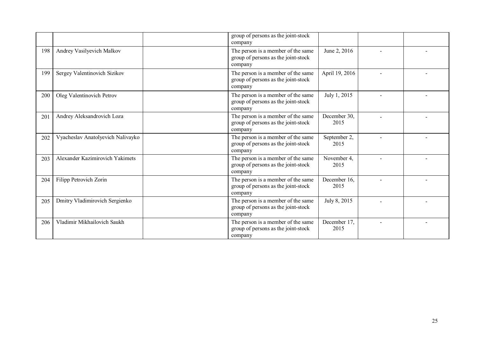|     |                                   | group of persons as the joint-stock<br>company                                       |                      |  |
|-----|-----------------------------------|--------------------------------------------------------------------------------------|----------------------|--|
| 198 | Andrey Vasilyevich Malkov         | The person is a member of the same<br>group of persons as the joint-stock<br>company | June 2, 2016         |  |
| 199 | Sergey Valentinovich Sizikov      | The person is a member of the same<br>group of persons as the joint-stock<br>company | April 19, 2016       |  |
| 200 | Oleg Valentinovich Petrov         | The person is a member of the same<br>group of persons as the joint-stock<br>company | July 1, 2015         |  |
| 201 | Andrey Aleksandrovich Loza        | The person is a member of the same<br>group of persons as the joint-stock<br>company | December 30,<br>2015 |  |
| 202 | Vyacheslav Anatolyevich Nalivayko | The person is a member of the same<br>group of persons as the joint-stock<br>company | September 2,<br>2015 |  |
| 203 | Alexander Kazimirovich Yakimets   | The person is a member of the same<br>group of persons as the joint-stock<br>company | November 4,<br>2015  |  |
| 204 | Filipp Petrovich Zorin            | The person is a member of the same<br>group of persons as the joint-stock<br>company | December 16,<br>2015 |  |
| 205 | Dmitry Vladimirovich Sergienko    | The person is a member of the same<br>group of persons as the joint-stock<br>company | July 8, 2015         |  |
| 206 | Vladimir Mikhailovich Saukh       | The person is a member of the same<br>group of persons as the joint-stock<br>company | December 17,<br>2015 |  |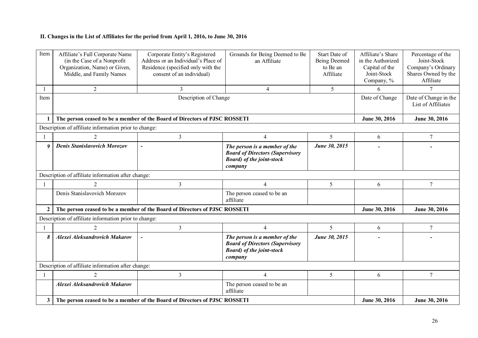## **II. Changes in the List of Affiliates for the period from April 1, 2016, to June 30, 2016**

| Item             | Affiliate's Full Corporate Name<br>(in the Case of a Nonprofit)<br>Organization, Name) or Given,<br>Middle, and Family Names | Corporate Entity's Registered<br>Address or an Individual's Place of<br>Residence (specified only with the<br>consent of an individual) | Grounds for Being Deemed to Be<br>an Affiliate                                                                          | Start Date of<br>Being Deemed<br>to Be an<br>Affiliate | Affiliate's Share<br>in the Authorized<br>Capital of the<br>Joint-Stock<br>Company, % | Percentage of the<br>Joint-Stock<br>Company's Ordinary<br>Shares Owned by the<br>Affiliate |
|------------------|------------------------------------------------------------------------------------------------------------------------------|-----------------------------------------------------------------------------------------------------------------------------------------|-------------------------------------------------------------------------------------------------------------------------|--------------------------------------------------------|---------------------------------------------------------------------------------------|--------------------------------------------------------------------------------------------|
|                  | $\overline{2}$                                                                                                               | 3                                                                                                                                       | 4                                                                                                                       | 5                                                      | 6                                                                                     | $\tau$                                                                                     |
| Item             |                                                                                                                              |                                                                                                                                         | Date of Change                                                                                                          | Date of Change in the<br>List of Affiliates            |                                                                                       |                                                                                            |
|                  |                                                                                                                              | The person ceased to be a member of the Board of Directors of PJSC ROSSETI                                                              |                                                                                                                         |                                                        | June 30, 2016                                                                         | June 30, 2016                                                                              |
|                  | Description of affiliate information prior to change:                                                                        |                                                                                                                                         |                                                                                                                         |                                                        |                                                                                       |                                                                                            |
|                  | 2                                                                                                                            | $\overline{3}$                                                                                                                          | $\overline{4}$                                                                                                          | 5                                                      | 6                                                                                     | $7\phantom{.0}$                                                                            |
| $\boldsymbol{q}$ | <b>Denis Stanislavovich Morozov</b>                                                                                          | $\overline{\phantom{a}}$                                                                                                                | The person is a member of the<br><b>Board of Directors (Supervisory</b><br><b>Board</b> ) of the joint-stock<br>company | June 30, 2015                                          |                                                                                       |                                                                                            |
|                  | Description of affiliate information after change:                                                                           |                                                                                                                                         |                                                                                                                         |                                                        |                                                                                       |                                                                                            |
|                  | $\overline{2}$                                                                                                               | $\overline{3}$                                                                                                                          | $\overline{4}$                                                                                                          | 5                                                      | 6                                                                                     | 7                                                                                          |
|                  | Denis Stanislavovich Morozov                                                                                                 |                                                                                                                                         | The person ceased to be an<br>affiliate                                                                                 |                                                        |                                                                                       |                                                                                            |
| $\mathbf{2}$     |                                                                                                                              | The person ceased to be a member of the Board of Directors of PJSC ROSSETI                                                              |                                                                                                                         |                                                        | June 30, 2016                                                                         | June 30, 2016                                                                              |
|                  | Description of affiliate information prior to change:                                                                        |                                                                                                                                         |                                                                                                                         |                                                        |                                                                                       |                                                                                            |
|                  | $\mathfrak{D}$                                                                                                               | 3                                                                                                                                       | $\overline{4}$                                                                                                          | 5                                                      | 6                                                                                     | $\overline{7}$                                                                             |
| 8                | <b>Alexei Aleksandrovich Makarov</b>                                                                                         |                                                                                                                                         | The person is a member of the<br><b>Board of Directors (Supervisory</b><br><b>Board</b> ) of the joint-stock<br>company | June 30, 2015                                          |                                                                                       |                                                                                            |
|                  | Description of affiliate information after change:                                                                           |                                                                                                                                         |                                                                                                                         |                                                        |                                                                                       |                                                                                            |
|                  | 2                                                                                                                            | 3                                                                                                                                       | $\overline{4}$                                                                                                          | 5                                                      | 6                                                                                     | 7                                                                                          |
|                  | <b>Alexei Aleksandrovich Makarov</b>                                                                                         |                                                                                                                                         | The person ceased to be an<br>affiliate                                                                                 |                                                        |                                                                                       |                                                                                            |
| 3                |                                                                                                                              | The person ceased to be a member of the Board of Directors of PJSC ROSSETI                                                              |                                                                                                                         |                                                        | June 30, 2016                                                                         | June 30, 2016                                                                              |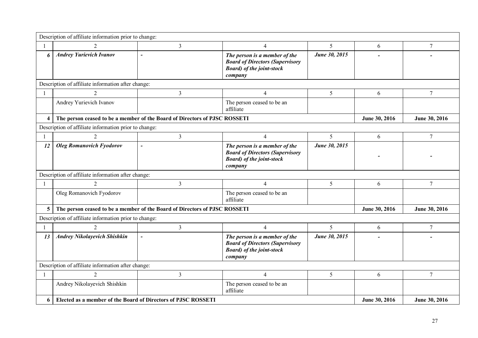|                         | Description of affiliate information prior to change:         |                                                                            |                                                                                                                         |               |               |                |  |  |
|-------------------------|---------------------------------------------------------------|----------------------------------------------------------------------------|-------------------------------------------------------------------------------------------------------------------------|---------------|---------------|----------------|--|--|
| -1                      | $\mathfrak{D}$                                                | $\overline{3}$                                                             | 4                                                                                                                       | 5             | 6             | 7              |  |  |
| 6                       | <b>Andrey Yurievich Ivanov</b>                                | $\overline{a}$                                                             | The person is a member of the<br><b>Board of Directors (Supervisory</b><br><b>Board</b> ) of the joint-stock<br>company | June 30, 2015 |               |                |  |  |
|                         | Description of affiliate information after change:            |                                                                            |                                                                                                                         |               |               |                |  |  |
|                         |                                                               | $\overline{3}$                                                             | $\overline{4}$                                                                                                          | 5             | 6             | 7              |  |  |
|                         | Andrey Yurievich Ivanov                                       |                                                                            | The person ceased to be an<br>affiliate                                                                                 |               |               |                |  |  |
| $\overline{\mathbf{4}}$ |                                                               | The person ceased to be a member of the Board of Directors of PJSC ROSSETI |                                                                                                                         |               | June 30, 2016 | June 30, 2016  |  |  |
|                         | Description of affiliate information prior to change:         |                                                                            |                                                                                                                         |               |               |                |  |  |
|                         |                                                               | $\overline{3}$                                                             | $\overline{4}$                                                                                                          | 5             | 6             | $\overline{7}$ |  |  |
| 12                      | <b>Oleg Romanovich Fyodorov</b>                               | $\overline{a}$                                                             | The person is a member of the<br><b>Board of Directors (Supervisory</b><br><b>Board</b> ) of the joint-stock<br>company | June 30, 2015 |               |                |  |  |
|                         | Description of affiliate information after change:            |                                                                            |                                                                                                                         |               |               |                |  |  |
| $\mathbf{1}$            | $\overline{2}$                                                | $\mathfrak{Z}$                                                             | $\overline{4}$                                                                                                          | 5             | 6             | 7              |  |  |
|                         | Oleg Romanovich Fyodorov                                      |                                                                            | The person ceased to be an<br>affiliate                                                                                 |               |               |                |  |  |
| 5                       |                                                               | The person ceased to be a member of the Board of Directors of PJSC ROSSETI |                                                                                                                         |               | June 30, 2016 | June 30, 2016  |  |  |
|                         | Description of affiliate information prior to change:         |                                                                            |                                                                                                                         |               |               |                |  |  |
|                         | $\overline{2}$                                                | $\overline{3}$                                                             | $\overline{4}$                                                                                                          | 5             | 6             | $\overline{7}$ |  |  |
| 13                      | <b>Andrey Nikolayevich Shishkin</b>                           | $\overline{a}$                                                             | The person is a member of the<br><b>Board of Directors (Supervisory</b><br><b>Board</b> ) of the joint-stock<br>company | June 30, 2015 |               |                |  |  |
|                         | Description of affiliate information after change:            |                                                                            |                                                                                                                         |               |               |                |  |  |
|                         | $\mathcal{D}_{\mathcal{L}}$                                   | $\overline{3}$                                                             | $\overline{\mathcal{A}}$                                                                                                | 5             | 6             | 7              |  |  |
|                         | Andrey Nikolayevich Shishkin                                  |                                                                            | The person ceased to be an<br>affiliate                                                                                 |               |               |                |  |  |
| 6                       | Elected as a member of the Board of Directors of PJSC ROSSETI |                                                                            |                                                                                                                         |               | June 30, 2016 | June 30, 2016  |  |  |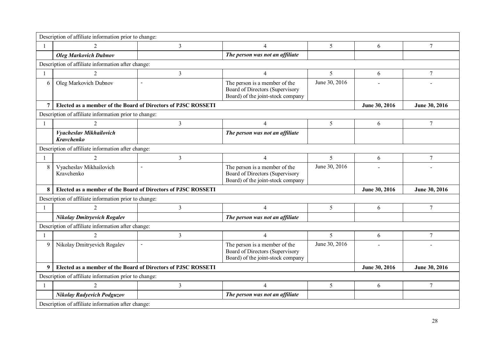|                | Description of affiliate information prior to change:         |                |                                                                                                       |               |               |                 |  |  |
|----------------|---------------------------------------------------------------|----------------|-------------------------------------------------------------------------------------------------------|---------------|---------------|-----------------|--|--|
| $\mathbf{1}$   | $\overline{2}$                                                | 3              | $\overline{4}$                                                                                        | 5             | 6             | $7\phantom{.0}$ |  |  |
|                | <b>Oleg Markovich Dubnov</b>                                  |                | The person was not an affiliate                                                                       |               |               |                 |  |  |
|                | Description of affiliate information after change:            |                |                                                                                                       |               |               |                 |  |  |
|                | $\mathcal{D}_{\mathcal{L}}$                                   | 3              | $\overline{4}$                                                                                        | 5             | 6             | 7               |  |  |
| 6              | Oleg Markovich Dubnov                                         |                | The person is a member of the<br>Board of Directors (Supervisory<br>Board) of the joint-stock company | June 30, 2016 |               |                 |  |  |
| $\overline{7}$ | Elected as a member of the Board of Directors of PJSC ROSSETI |                | June 30, 2016                                                                                         | June 30, 2016 |               |                 |  |  |
|                | Description of affiliate information prior to change:         |                |                                                                                                       |               |               |                 |  |  |
| $\mathbf{1}$   | $\mathcal{D}_{\mathcal{L}}$                                   | 3              | $\overline{4}$                                                                                        | 5             | 6             | $\overline{7}$  |  |  |
|                | Vyacheslav Mikhailovich<br><b>Kravchenko</b>                  |                | The person was not an affiliate                                                                       |               |               |                 |  |  |
|                | Description of affiliate information after change:            |                |                                                                                                       |               |               |                 |  |  |
| $\mathbf{1}$   | $\overline{2}$                                                | 3              | $\overline{4}$                                                                                        | 5             | 6             | $\tau$          |  |  |
| 8              | Vyacheslav Mikhailovich<br>Kravchenko                         | $\blacksquare$ | The person is a member of the<br>Board of Directors (Supervisory<br>Board) of the joint-stock company | June 30, 2016 |               |                 |  |  |
| 8              | Elected as a member of the Board of Directors of PJSC ROSSETI |                |                                                                                                       |               | June 30, 2016 | June 30, 2016   |  |  |
|                | Description of affiliate information prior to change:         |                |                                                                                                       |               |               |                 |  |  |
|                | $\overline{2}$                                                | 3              | $\overline{4}$                                                                                        | 5             | 6             | $\tau$          |  |  |
|                | <b>Nikolay Dmitryevich Rogalev</b>                            |                | The person was not an affiliate                                                                       |               |               |                 |  |  |
|                | Description of affiliate information after change:            |                |                                                                                                       |               |               |                 |  |  |
| $\mathbf{1}$   |                                                               | 3              | $\overline{4}$                                                                                        | 5             | 6             | $\tau$          |  |  |
| 9              | Nikolay Dmitryevich Rogalev                                   |                | The person is a member of the<br>Board of Directors (Supervisory<br>Board) of the joint-stock company | June 30, 2016 |               |                 |  |  |
| 9              | Elected as a member of the Board of Directors of PJSC ROSSETI |                |                                                                                                       |               | June 30, 2016 | June 30, 2016   |  |  |
|                | Description of affiliate information prior to change:         |                |                                                                                                       |               |               |                 |  |  |
|                | $\mathcal{D}_{\mathcal{L}}$                                   | 3              | $\overline{4}$                                                                                        | 5             | 6             | $7\phantom{.0}$ |  |  |
|                | <b>Nikolay Radyevich Podguzov</b>                             |                | The person was not an affiliate                                                                       |               |               |                 |  |  |
|                | Description of affiliate information after change:            |                |                                                                                                       |               |               |                 |  |  |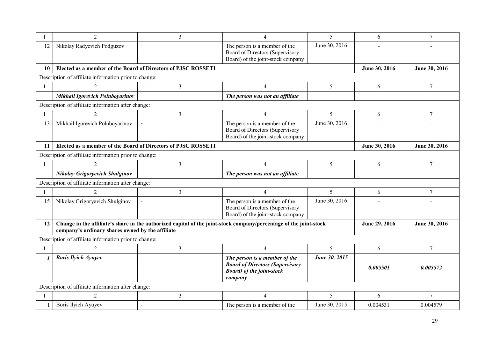|              | 2                                                             | 3              | 4                                                                                                                       | 5             | 6             | $\overline{7}$  |
|--------------|---------------------------------------------------------------|----------------|-------------------------------------------------------------------------------------------------------------------------|---------------|---------------|-----------------|
| 12           | Nikolay Radyevich Podguzov                                    | $\overline{a}$ | The person is a member of the<br>Board of Directors (Supervisory<br>Board) of the joint-stock company                   | June 30, 2016 |               |                 |
| 10           | Elected as a member of the Board of Directors of PJSC ROSSETI |                |                                                                                                                         |               | June 30, 2016 | June 30, 2016   |
|              | Description of affiliate information prior to change:         |                |                                                                                                                         |               |               |                 |
|              | $\mathcal{D}_{\mathcal{L}}$                                   | $\overline{3}$ | $\overline{4}$                                                                                                          | 5             | 6             | $\overline{7}$  |
|              | Mikhail Igorevich Poluboyarinov                               |                | The person was not an affiliate                                                                                         |               |               |                 |
|              | Description of affiliate information after change:            |                |                                                                                                                         |               |               |                 |
| $\mathbf{1}$ | $\mathfrak{D}$                                                | $\mathfrak{Z}$ | $\overline{4}$                                                                                                          | 5             | 6             | $\tau$          |
| 13           | Mikhail Igorevich Poluboyarinov                               | $\overline{a}$ | The person is a member of the<br>Board of Directors (Supervisory<br>Board) of the joint-stock company                   | June 30, 2016 |               |                 |
| 11           | Elected as a member of the Board of Directors of PJSC ROSSETI |                |                                                                                                                         |               | June 30, 2016 | June 30, 2016   |
|              | Description of affiliate information prior to change:         |                |                                                                                                                         |               |               |                 |
|              | $\overline{2}$                                                | $\overline{3}$ | $\overline{4}$                                                                                                          | 5             | 6             | 7               |
|              | <b>Nikolay Grigoryevich Shulginov</b>                         |                | The person was not an affiliate                                                                                         |               |               |                 |
|              | Description of affiliate information after change:            |                |                                                                                                                         |               |               |                 |
|              |                                                               | 3              | $\overline{4}$                                                                                                          | 5             | 6             | $7\phantom{.0}$ |
| 15           | Nikolay Grigoryevich Shulginov                                |                | The person is a member of the<br>Board of Directors (Supervisory<br>Board) of the joint-stock company                   | June 30, 2016 |               |                 |
| 12           | company's ordinary shares owned by the affiliate              |                | Change in the affiliate's share in the authorized capital of the joint-stock company/percentage of the joint-stock      |               | June 29, 2016 | June 30, 2016   |
|              | Description of affiliate information prior to change:         |                |                                                                                                                         |               |               |                 |
|              | $\mathfrak{D}$                                                | 3              | $\overline{4}$                                                                                                          | 5             | 6             | 7               |
| 1            | <b>Boris Ilyich Ayuyev</b>                                    |                | The person is a member of the<br><b>Board of Directors (Supervisory</b><br><b>Board</b> ) of the joint-stock<br>company | June 30, 2015 | 0.005501      | 0.005572        |
|              | Description of affiliate information after change:            |                |                                                                                                                         |               |               |                 |
|              |                                                               | $\overline{3}$ | $\overline{4}$                                                                                                          | 5             | 6             | $7\phantom{.0}$ |
|              | Boris Ilyich Ayuyev                                           | $\blacksquare$ | The person is a member of the                                                                                           | June 30, 2015 | 0.004531      | 0.004579        |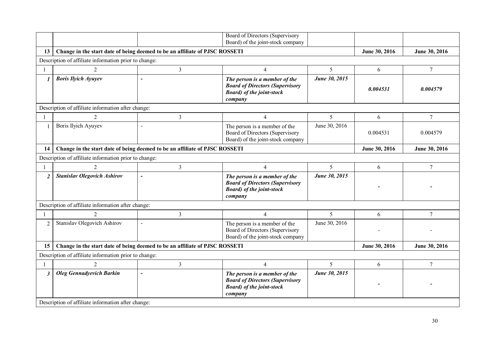|                                                                                                    |                                                                             |                          | Board of Directors (Supervisory<br>Board) of the joint-stock company                                                    |               |                |                 |
|----------------------------------------------------------------------------------------------------|-----------------------------------------------------------------------------|--------------------------|-------------------------------------------------------------------------------------------------------------------------|---------------|----------------|-----------------|
| 13                                                                                                 | Change in the start date of being deemed to be an affiliate of PJSC ROSSETI |                          |                                                                                                                         |               | June 30, 2016  | June 30, 2016   |
|                                                                                                    | Description of affiliate information prior to change:                       |                          |                                                                                                                         |               |                |                 |
|                                                                                                    |                                                                             |                          |                                                                                                                         |               |                |                 |
|                                                                                                    | $\overline{c}$                                                              | $\overline{3}$           | $\overline{4}$                                                                                                          | 5             | 6              | $7\phantom{.}$  |
| $\boldsymbol{l}$                                                                                   | <b>Boris Ilyich Ayuyev</b>                                                  |                          | The person is a member of the<br><b>Board of Directors (Supervisory</b><br><b>Board</b> ) of the joint-stock<br>company | June 30, 2015 | 0.004531       | 0.004579        |
|                                                                                                    | Description of affiliate information after change:                          |                          |                                                                                                                         |               |                |                 |
|                                                                                                    | $\overline{2}$                                                              | $\overline{3}$           | $\overline{4}$                                                                                                          | 5             | 6              | $\overline{7}$  |
| 1                                                                                                  | Boris Ilyich Ayuyev                                                         |                          | The person is a member of the<br>Board of Directors (Supervisory<br>Board) of the joint-stock company                   | June 30, 2016 | 0.004531       | 0.004579        |
| Change in the start date of being deemed to be an affiliate of PJSC ROSSETI<br>June 30, 2016<br>14 |                                                                             |                          |                                                                                                                         |               |                |                 |
|                                                                                                    | Description of affiliate information prior to change:                       |                          |                                                                                                                         |               |                |                 |
|                                                                                                    |                                                                             | 3                        | $\overline{4}$                                                                                                          | 5             | 6              | $7\phantom{.0}$ |
| $\overline{2}$                                                                                     | <b>Stanislav Olegovich Ashirov</b>                                          | $\blacksquare$           | The person is a member of the<br><b>Board of Directors (Supervisory</b><br><b>Board</b> ) of the joint-stock<br>company | June 30, 2015 | $\overline{a}$ |                 |
|                                                                                                    | Description of affiliate information after change:                          |                          |                                                                                                                         |               |                |                 |
|                                                                                                    | $\overline{2}$                                                              | $\overline{3}$           | $\overline{4}$                                                                                                          | 5             | 6              | $\overline{7}$  |
| $\overline{2}$                                                                                     | Stanislav Olegovich Ashirov                                                 | $\blacksquare$           | The person is a member of the<br>Board of Directors (Supervisory<br>Board) of the joint-stock company                   | June 30, 2016 |                |                 |
| 15                                                                                                 | Change in the start date of being deemed to be an affiliate of PJSC ROSSETI |                          |                                                                                                                         |               | June 30, 2016  | June 30, 2016   |
|                                                                                                    | Description of affiliate information prior to change:                       |                          |                                                                                                                         |               |                |                 |
|                                                                                                    | $\overline{2}$                                                              | $\mathfrak{Z}$           | $\overline{4}$                                                                                                          | 5             | 6              | $\tau$          |
| $\mathfrak{z}$                                                                                     | <b>Oleg Gennadyevich Barkin</b>                                             | $\overline{\phantom{0}}$ | The person is a member of the<br><b>Board of Directors (Supervisory</b><br><b>Board</b> ) of the joint-stock<br>company | June 30, 2015 |                |                 |
|                                                                                                    | Description of affiliate information after change:                          |                          |                                                                                                                         |               |                |                 |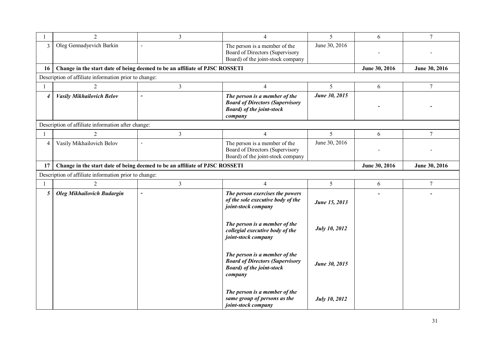|                | 2                                                     | $\overline{3}$                                                              | 4                                                                                                                       | 5                    | 6             | $\overline{7}$ |
|----------------|-------------------------------------------------------|-----------------------------------------------------------------------------|-------------------------------------------------------------------------------------------------------------------------|----------------------|---------------|----------------|
| 3              | Oleg Gennadyevich Barkin                              | $\overline{a}$                                                              | The person is a member of the<br>Board of Directors (Supervisory<br>Board) of the joint-stock company                   | June 30, 2016        |               |                |
| 16             |                                                       | Change in the start date of being deemed to be an affiliate of PJSC ROSSETI |                                                                                                                         |                      | June 30, 2016 | June 30, 2016  |
|                | Description of affiliate information prior to change: |                                                                             |                                                                                                                         |                      |               |                |
| 1              | $\overline{2}$                                        | $\overline{3}$                                                              | $\overline{4}$                                                                                                          | 5                    | 6             | $\overline{7}$ |
| $\overline{4}$ | <b>Vasily Mikhailovich Belov</b>                      | $\overline{a}$                                                              | The person is a member of the<br><b>Board of Directors (Supervisory</b><br><b>Board</b> ) of the joint-stock<br>company | June 30, 2015        |               |                |
|                | Description of affiliate information after change:    |                                                                             |                                                                                                                         |                      |               |                |
|                | 2                                                     | 3                                                                           | $\overline{4}$                                                                                                          | 5                    | 6             | 7              |
| $\overline{4}$ | Vasily Mikhailovich Belov                             | $\blacksquare$                                                              | The person is a member of the<br>Board of Directors (Supervisory<br>Board) of the joint-stock company                   | June 30, 2016        |               |                |
| 17             |                                                       | Change in the start date of being deemed to be an affiliate of PJSC ROSSETI |                                                                                                                         |                      | June 30, 2016 | June 30, 2016  |
|                | Description of affiliate information prior to change: |                                                                             |                                                                                                                         |                      |               |                |
|                | $\overline{2}$                                        | $\overline{3}$                                                              | $\overline{4}$                                                                                                          | 5 <sup>5</sup>       | 6             | $\overline{7}$ |
| 5              | <b>Oleg Mikhailovich Budargin</b>                     | $\overline{\phantom{a}}$                                                    | The person exercises the powers<br>of the sole executive body of the<br>joint-stock company                             | June 15, 2013        |               |                |
|                |                                                       |                                                                             | The person is a member of the<br>collegial executive body of the<br>joint-stock company                                 | July 10, 2012        |               |                |
|                |                                                       |                                                                             | The person is a member of the<br><b>Board of Directors (Supervisory</b><br><b>Board</b> ) of the joint-stock<br>company | June 30, 2015        |               |                |
|                |                                                       |                                                                             | The person is a member of the<br>same group of persons as the<br>joint-stock company                                    | <b>July 10, 2012</b> |               |                |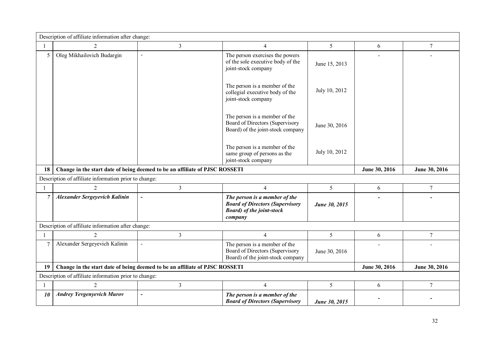|                | Description of affiliate information after change:    |                                                                             |                                                                                                                         |               |               |                |
|----------------|-------------------------------------------------------|-----------------------------------------------------------------------------|-------------------------------------------------------------------------------------------------------------------------|---------------|---------------|----------------|
|                | $\overline{2}$                                        | 3                                                                           | $\overline{4}$                                                                                                          | 5             | 6             | $\overline{7}$ |
| 5              | Oleg Mikhailovich Budargin                            | $\blacksquare$                                                              | The person exercises the powers<br>of the sole executive body of the<br>joint-stock company                             | June 15, 2013 |               |                |
|                |                                                       |                                                                             | The person is a member of the<br>collegial executive body of the<br>joint-stock company                                 | July 10, 2012 |               |                |
|                |                                                       |                                                                             | The person is a member of the<br>Board of Directors (Supervisory<br>Board) of the joint-stock company                   | June 30, 2016 |               |                |
|                |                                                       |                                                                             | The person is a member of the<br>same group of persons as the<br>joint-stock company                                    | July 10, 2012 |               |                |
| 18             |                                                       | Change in the start date of being deemed to be an affiliate of PJSC ROSSETI |                                                                                                                         |               | June 30, 2016 | June 30, 2016  |
|                | Description of affiliate information prior to change: |                                                                             |                                                                                                                         |               |               |                |
|                |                                                       |                                                                             |                                                                                                                         |               |               |                |
|                | $\mathcal{D}_{\mathcal{L}}$                           | $\overline{3}$                                                              | $\overline{4}$                                                                                                          | 5             | 6             | $\overline{7}$ |
| $\overline{7}$ | <b>Alexander Sergeyevich Kalinin</b>                  | $\overline{\phantom{a}}$                                                    | The person is a member of the<br><b>Board of Directors (Supervisory</b><br><b>Board</b> ) of the joint-stock<br>company | June 30, 2015 |               |                |
|                | Description of affiliate information after change:    |                                                                             |                                                                                                                         |               |               |                |
|                | $\overline{2}$                                        | $\overline{3}$                                                              | $\overline{4}$                                                                                                          | 5             | 6             | $\overline{7}$ |
|                | Alexander Sergeyevich Kalinin                         | $\blacksquare$                                                              | The person is a member of the<br>Board of Directors (Supervisory<br>Board) of the joint-stock company                   | June 30, 2016 |               |                |
| 19             |                                                       | Change in the start date of being deemed to be an affiliate of PJSC ROSSETI |                                                                                                                         |               | June 30, 2016 | June 30, 2016  |
|                | Description of affiliate information prior to change: |                                                                             |                                                                                                                         |               |               |                |
|                | $\overline{2}$                                        | $\mathfrak{Z}$                                                              | $\overline{4}$                                                                                                          | 5             | 6             | $\tau$         |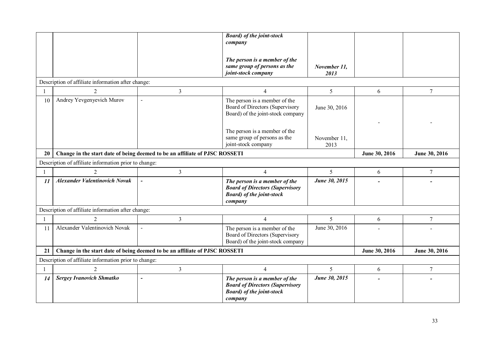|    |                                                                             |                                                                             | <b>Board</b> ) of the joint-stock                                                                                       |                      |                          |                |
|----|-----------------------------------------------------------------------------|-----------------------------------------------------------------------------|-------------------------------------------------------------------------------------------------------------------------|----------------------|--------------------------|----------------|
|    |                                                                             |                                                                             | company                                                                                                                 |                      |                          |                |
|    |                                                                             |                                                                             | The person is a member of the<br>same group of persons as the<br>joint-stock company                                    | November 11,<br>2013 |                          |                |
|    | Description of affiliate information after change:                          |                                                                             |                                                                                                                         |                      |                          |                |
| -1 | $\overline{2}$                                                              | $\overline{3}$                                                              | $\overline{4}$                                                                                                          | $\mathfrak{S}$       | 6                        | $\tau$         |
| 10 | Andrey Yevgenyevich Murov                                                   | $\overline{\phantom{a}}$                                                    | The person is a member of the<br>Board of Directors (Supervisory<br>Board) of the joint-stock company                   | June 30, 2016        |                          |                |
|    |                                                                             |                                                                             | The person is a member of the<br>same group of persons as the<br>joint-stock company                                    | November 11,<br>2013 |                          |                |
| 20 | Change in the start date of being deemed to be an affiliate of PJSC ROSSETI |                                                                             | June 30, 2016                                                                                                           | June 30, 2016        |                          |                |
|    | Description of affiliate information prior to change:                       |                                                                             |                                                                                                                         |                      |                          |                |
|    |                                                                             | 3                                                                           | $\overline{4}$                                                                                                          | 5                    | 6                        | $\overline{7}$ |
| 11 | <b>Alexander Valentinovich Novak</b>                                        | $\overline{\phantom{a}}$                                                    | The person is a member of the<br><b>Board of Directors (Supervisory</b><br><b>Board</b> ) of the joint-stock<br>company | June 30, 2015        |                          |                |
|    | Description of affiliate information after change:                          |                                                                             |                                                                                                                         |                      |                          |                |
|    | $\mathfrak{D}$                                                              | 3                                                                           | $\overline{4}$                                                                                                          | 5                    | 6                        | $\overline{7}$ |
| 11 | Alexander Valentinovich Novak                                               | $\sim$                                                                      | The person is a member of the<br>Board of Directors (Supervisory<br>Board) of the joint-stock company                   | June 30, 2016        |                          |                |
| 21 |                                                                             | Change in the start date of being deemed to be an affiliate of PJSC ROSSETI |                                                                                                                         |                      | June 30, 2016            | June 30, 2016  |
|    | Description of affiliate information prior to change:                       |                                                                             |                                                                                                                         |                      |                          |                |
|    | $\overline{2}$                                                              | $\overline{3}$                                                              | $\overline{4}$                                                                                                          | 5                    | 6                        | $\tau$         |
| 14 | <b>Sergey Ivanovich Shmatko</b>                                             | $\overline{\phantom{a}}$                                                    | The person is a member of the<br><b>Board of Directors (Supervisory</b><br><b>Board</b> ) of the joint-stock<br>company | June 30, 2015        | $\overline{\phantom{0}}$ |                |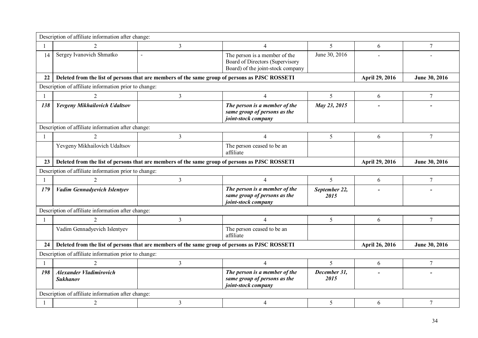|     | Description of affiliate information after change:                                             |                                                                                                |                                                                                                       |                          |                |               |
|-----|------------------------------------------------------------------------------------------------|------------------------------------------------------------------------------------------------|-------------------------------------------------------------------------------------------------------|--------------------------|----------------|---------------|
|     | 2                                                                                              | 3                                                                                              | $\overline{4}$                                                                                        | 5                        | 6              | 7             |
| 14  | Sergey Ivanovich Shmatko                                                                       | $\blacksquare$                                                                                 | The person is a member of the<br>Board of Directors (Supervisory<br>Board) of the joint-stock company | June 30, 2016            |                |               |
| 22  |                                                                                                | Deleted from the list of persons that are members of the same group of persons as PJSC ROSSETI |                                                                                                       |                          | April 29, 2016 | June 30, 2016 |
|     | Description of affiliate information prior to change:                                          |                                                                                                |                                                                                                       |                          |                |               |
|     | 2                                                                                              | 3                                                                                              | $\overline{4}$                                                                                        | 5                        | 6              | 7             |
| 138 | Yevgeny Mikhailovich Udaltsov                                                                  |                                                                                                | The person is a member of the<br>same group of persons as the<br>joint-stock company                  | May 23, 2015             |                |               |
|     | Description of affiliate information after change:                                             |                                                                                                |                                                                                                       |                          |                |               |
|     | $\mathfrak{D}$                                                                                 | 3                                                                                              | $\overline{4}$                                                                                        | 5                        | 6              | 7             |
|     | Yevgeny Mikhailovich Udaltsov                                                                  |                                                                                                | The person ceased to be an<br>affiliate                                                               |                          |                |               |
| 23  | Deleted from the list of persons that are members of the same group of persons as PJSC ROSSETI |                                                                                                | April 29, 2016                                                                                        | June 30, 2016            |                |               |
|     | Description of affiliate information prior to change:                                          |                                                                                                |                                                                                                       |                          |                |               |
|     | 2                                                                                              | 3                                                                                              | $\overline{4}$                                                                                        | 5                        | 6              | 7             |
| 179 | <b>Vadim Gennadyevich Islentyev</b>                                                            |                                                                                                | The person is a member of the<br>same group of persons as the<br>joint-stock company                  | September 22,<br>2015    |                |               |
|     | Description of affiliate information after change:                                             |                                                                                                |                                                                                                       |                          |                |               |
|     |                                                                                                | 3                                                                                              | $\overline{4}$                                                                                        | 5                        | 6              | 7             |
|     | Vadim Gennadyevich Islentyev                                                                   |                                                                                                | The person ceased to be an<br>affiliate                                                               |                          |                |               |
| 24  |                                                                                                | Deleted from the list of persons that are members of the same group of persons as PJSC ROSSETI |                                                                                                       |                          | April 26, 2016 | June 30, 2016 |
|     | Description of affiliate information prior to change:                                          |                                                                                                |                                                                                                       |                          |                |               |
|     | $\mathcal{D}$                                                                                  | 3                                                                                              | $\overline{4}$                                                                                        | $\overline{\mathcal{L}}$ | 6              | 7             |
| 198 | <b>Alexander Vladimirovich</b><br><b>Sukhanov</b>                                              |                                                                                                | The person is a member of the<br>same group of persons as the<br>joint-stock company                  | December 31,<br>2015     |                |               |
|     | Description of affiliate information after change:                                             |                                                                                                |                                                                                                       |                          |                |               |
|     | $\overline{2}$                                                                                 | 3                                                                                              | 4                                                                                                     | 5                        | 6              | 7             |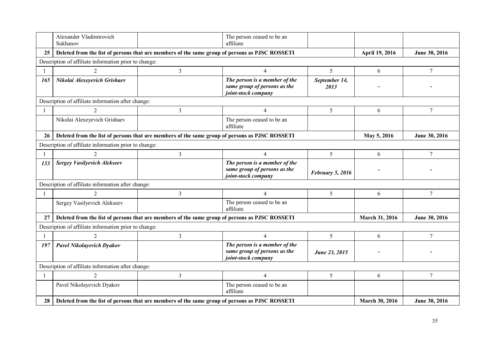|     | Alexander Vladimirovich<br>Sukhanov                                                            |                | The person ceased to be an<br>affiliate                                              |                       |                       |                |
|-----|------------------------------------------------------------------------------------------------|----------------|--------------------------------------------------------------------------------------|-----------------------|-----------------------|----------------|
| 25  | Deleted from the list of persons that are members of the same group of persons as PJSC ROSSETI |                |                                                                                      |                       | April 19, 2016        | June 30, 2016  |
|     | Description of affiliate information prior to change:                                          |                |                                                                                      |                       |                       |                |
|     | $\mathcal{D}_{\mathcal{L}}$                                                                    | 3              | $\overline{4}$                                                                       | 5                     | 6                     | $7\phantom{.}$ |
| 165 | Nikolai Alexeyevich Grishaev                                                                   |                | The person is a member of the<br>same group of persons as the<br>joint-stock company | September 14,<br>2013 |                       |                |
|     | Description of affiliate information after change:                                             |                |                                                                                      |                       |                       |                |
|     | 2                                                                                              | $\overline{3}$ | $\overline{4}$                                                                       | 5                     | 6                     | $\tau$         |
|     | Nikolai Alexeyevich Grishaev                                                                   |                | The person ceased to be an<br>affiliate                                              |                       |                       |                |
| 26  | Deleted from the list of persons that are members of the same group of persons as PJSC ROSSETI |                |                                                                                      |                       | May 5, 2016           | June 30, 2016  |
|     | Description of affiliate information prior to change:                                          |                |                                                                                      |                       |                       |                |
|     | $\mathfrak{D}$                                                                                 | 3              | $\overline{4}$                                                                       | 5                     | 6                     | $\tau$         |
| 133 | <b>Sergey Vasilyevich Alekseev</b>                                                             |                | The person is a member of the<br>same group of persons as the<br>joint-stock company | February 5, 2016      |                       |                |
|     | Description of affiliate information after change:                                             |                |                                                                                      |                       |                       |                |
|     | $\overline{2}$                                                                                 | 3              | $\overline{4}$                                                                       | 5                     | 6                     | $\tau$         |
|     | Sergey Vasilyevich Alekseev                                                                    |                | The person ceased to be an<br>affiliate                                              |                       |                       |                |
| 27  | Deleted from the list of persons that are members of the same group of persons as PJSC ROSSETI |                |                                                                                      |                       | <b>March 31, 2016</b> | June 30, 2016  |
|     | Description of affiliate information prior to change:                                          |                |                                                                                      |                       |                       |                |
| -1  | $\mathfrak{D}$                                                                                 | 3              | $\overline{4}$                                                                       | 5                     | 6                     | 7              |
| 197 | Pavel Nikolayevich Dyakov                                                                      |                | The person is a member of the<br>same group of persons as the<br>joint-stock company | June 23, 2015         |                       |                |
|     | Description of affiliate information after change:                                             |                |                                                                                      |                       |                       |                |
|     | $\mathcal{D}_{\mathcal{L}}$                                                                    | 3              | $\overline{4}$                                                                       | 5                     | 6                     | $\tau$         |
|     | Pavel Nikolayevich Dyakov                                                                      |                | The person ceased to be an<br>affiliate                                              |                       |                       |                |
| 28  | Deleted from the list of persons that are members of the same group of persons as PJSC ROSSETI |                |                                                                                      |                       | <b>March 30, 2016</b> | June 30, 2016  |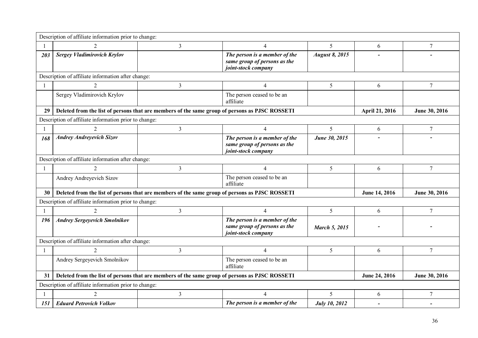|              | Description of affiliate information prior to change: |                                                                                                |                                                                                      |                       |                |                 |  |  |  |
|--------------|-------------------------------------------------------|------------------------------------------------------------------------------------------------|--------------------------------------------------------------------------------------|-----------------------|----------------|-----------------|--|--|--|
|              | $\mathfrak{D}$                                        | $\overline{3}$                                                                                 | $\overline{4}$                                                                       | 5                     | 6              | $\tau$          |  |  |  |
| 203          | <b>Sergey Vladimirovich Krylov</b>                    |                                                                                                | The person is a member of the<br>same group of persons as the<br>joint-stock company | <b>August 8, 2015</b> |                |                 |  |  |  |
|              | Description of affiliate information after change:    |                                                                                                |                                                                                      |                       |                |                 |  |  |  |
| $\mathbf{1}$ | $\mathcal{D}$                                         | 3                                                                                              | $\overline{4}$                                                                       | 5                     | 6              | $\overline{7}$  |  |  |  |
|              | Sergey Vladimirovich Krylov                           |                                                                                                | The person ceased to be an<br>affiliate                                              |                       |                |                 |  |  |  |
| 29           |                                                       | Deleted from the list of persons that are members of the same group of persons as PJSC ROSSETI |                                                                                      |                       | April 21, 2016 | June 30, 2016   |  |  |  |
|              | Description of affiliate information prior to change: |                                                                                                |                                                                                      |                       |                |                 |  |  |  |
|              | $\mathcal{D}$                                         | $\mathfrak{Z}$                                                                                 | $\overline{4}$                                                                       | 5                     | 6              | 7               |  |  |  |
| 168          | <b>Andrey Andreyevich Sizov</b>                       |                                                                                                | The person is a member of the<br>same group of persons as the<br>joint-stock company | June 30, 2015         |                |                 |  |  |  |
|              | Description of affiliate information after change:    |                                                                                                |                                                                                      |                       |                |                 |  |  |  |
|              |                                                       | 3                                                                                              | $\overline{4}$                                                                       | 5                     | 6              | 7               |  |  |  |
|              | Andrey Andreyevich Sizov                              |                                                                                                | The person ceased to be an<br>affiliate                                              |                       |                |                 |  |  |  |
| 30           |                                                       | Deleted from the list of persons that are members of the same group of persons as PJSC ROSSETI |                                                                                      |                       | June 14, 2016  | June 30, 2016   |  |  |  |
|              | Description of affiliate information prior to change: |                                                                                                |                                                                                      |                       |                |                 |  |  |  |
|              | $\mathcal{D}_{\mathcal{L}}$                           | $\overline{3}$                                                                                 | $\overline{4}$                                                                       | 5                     | 6              | $7\phantom{.0}$ |  |  |  |
| 196          | <b>Andrey Sergeyevich Smolnikov</b>                   |                                                                                                | The person is a member of the<br>same group of persons as the<br>joint-stock company | <b>March 5, 2015</b>  |                |                 |  |  |  |
|              | Description of affiliate information after change:    |                                                                                                |                                                                                      |                       |                |                 |  |  |  |
|              |                                                       | 3                                                                                              | $\overline{\mathcal{A}}$                                                             | 5                     | 6              | $\tau$          |  |  |  |
|              | Andrey Sergeyevich Smolnikov                          |                                                                                                | The person ceased to be an<br>affiliate                                              |                       |                |                 |  |  |  |
| 31           |                                                       | Deleted from the list of persons that are members of the same group of persons as PJSC ROSSETI |                                                                                      |                       | June 24, 2016  | June 30, 2016   |  |  |  |
|              | Description of affiliate information prior to change: |                                                                                                |                                                                                      |                       |                |                 |  |  |  |
|              |                                                       | $\overline{3}$                                                                                 | $\overline{4}$                                                                       | 5                     | 6              | $\overline{7}$  |  |  |  |
| 151          | <b>Eduard Petrovich Volkov</b>                        |                                                                                                | The person is a member of the                                                        | <b>July 10, 2012</b>  |                |                 |  |  |  |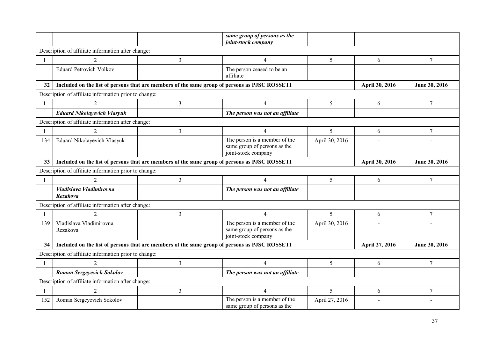|     |                                                                                               |                | same group of persons as the<br>joint-stock company                                  |                |                |                 |
|-----|-----------------------------------------------------------------------------------------------|----------------|--------------------------------------------------------------------------------------|----------------|----------------|-----------------|
|     | Description of affiliate information after change:                                            |                |                                                                                      |                |                |                 |
|     | $\mathfrak{D}$                                                                                | 3              | $\overline{4}$                                                                       | 5              | 6              | 7               |
|     | <b>Eduard Petrovich Volkov</b>                                                                |                | The person ceased to be an<br>affiliate                                              |                |                |                 |
| 32  | Included on the list of persons that are members of the same group of persons as PJSC ROSSETI |                |                                                                                      |                | April 30, 2016 | June 30, 2016   |
|     | Description of affiliate information prior to change:                                         |                |                                                                                      |                |                |                 |
|     | 2                                                                                             | $\overline{3}$ | $\overline{4}$                                                                       | 5              | 6              | $7\phantom{.0}$ |
|     | <b>Eduard Nikolayevich Vlasyuk</b>                                                            |                | The person was not an affiliate                                                      |                |                |                 |
|     | Description of affiliate information after change:                                            |                |                                                                                      |                |                |                 |
|     |                                                                                               | 3              | $\overline{4}$                                                                       | 5              | 6              | $\overline{7}$  |
| 134 | Eduard Nikolayevich Vlasyuk                                                                   |                | The person is a member of the<br>same group of persons as the<br>joint-stock company | April 30, 2016 |                |                 |
| 33  | Included on the list of persons that are members of the same group of persons as PJSC ROSSETI |                |                                                                                      |                | April 30, 2016 | June 30, 2016   |
|     | Description of affiliate information prior to change:                                         |                |                                                                                      |                |                |                 |
|     |                                                                                               | $\overline{3}$ | 4                                                                                    | 5              | 6              | 7               |
|     | Vladislava Vladimirovna<br>Rezakova                                                           |                | The person was not an affiliate                                                      |                |                |                 |
|     | Description of affiliate information after change:                                            |                |                                                                                      |                |                |                 |
|     | $\overline{2}$                                                                                | 3              | $\overline{4}$                                                                       | 5              | 6              | 7               |
| 139 | Vladislava Vladimirovna<br>Rezakova                                                           |                | The person is a member of the<br>same group of persons as the<br>joint-stock company | April 30, 2016 |                |                 |
| 34  | Included on the list of persons that are members of the same group of persons as PJSC ROSSETI |                |                                                                                      |                | April 27, 2016 | June 30, 2016   |
|     | Description of affiliate information prior to change:                                         |                |                                                                                      |                |                |                 |
|     | $\mathfrak{D}$                                                                                | 3              | $\overline{4}$                                                                       | 5              | 6              | $\overline{7}$  |
|     | Roman Sergeyevich Sokolov                                                                     |                | The person was not an affiliate                                                      |                |                |                 |
|     | Description of affiliate information after change:                                            |                |                                                                                      |                |                |                 |
|     | 2                                                                                             | 3              | $\overline{4}$                                                                       | 5              | 6              | $\overline{7}$  |
| 152 | Roman Sergeyevich Sokolov                                                                     |                | The person is a member of the<br>same group of persons as the                        | April 27, 2016 |                |                 |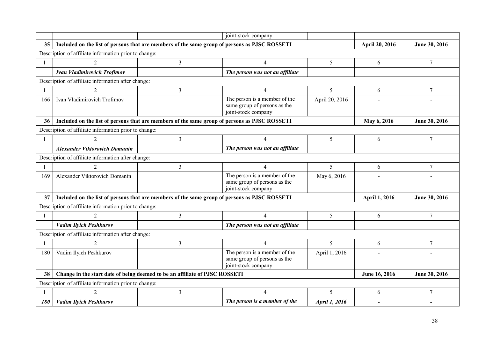|                 |                                                                         |                                                                                               | joint-stock company                                                                  |                |                       |                |  |  |
|-----------------|-------------------------------------------------------------------------|-----------------------------------------------------------------------------------------------|--------------------------------------------------------------------------------------|----------------|-----------------------|----------------|--|--|
| 35 <sub>5</sub> |                                                                         | Included on the list of persons that are members of the same group of persons as PJSC ROSSETI |                                                                                      |                | <b>April 20, 2016</b> | June 30, 2016  |  |  |
|                 | Description of affiliate information prior to change:                   |                                                                                               |                                                                                      |                |                       |                |  |  |
| $\mathbf{1}$    | $\mathfrak{D}$                                                          | $\overline{3}$                                                                                | $\overline{4}$                                                                       | 5              | 6                     | $7\phantom{.}$ |  |  |
|                 | <b>Ivan Vladimirovich Trofimov</b>                                      |                                                                                               | The person was not an affiliate                                                      |                |                       |                |  |  |
|                 | Description of affiliate information after change:                      |                                                                                               |                                                                                      |                |                       |                |  |  |
|                 |                                                                         | 3                                                                                             | $\overline{4}$                                                                       | 5              | 6                     | $\tau$         |  |  |
| 166             | Ivan Vladimirovich Trofimov                                             |                                                                                               | The person is a member of the<br>same group of persons as the<br>joint-stock company | April 20, 2016 |                       |                |  |  |
| 36              |                                                                         | Included on the list of persons that are members of the same group of persons as PJSC ROSSETI |                                                                                      |                | May 6, 2016           | June 30, 2016  |  |  |
|                 | Description of affiliate information prior to change:                   |                                                                                               |                                                                                      |                |                       |                |  |  |
|                 | $\mathcal{D}_{\mathcal{L}}$                                             | 3                                                                                             | $\overline{4}$                                                                       | 5              | 6                     | $\tau$         |  |  |
|                 | The person was not an affiliate<br><b>Alexander Viktorovich Domanin</b> |                                                                                               |                                                                                      |                |                       |                |  |  |
|                 | Description of affiliate information after change:                      |                                                                                               |                                                                                      |                |                       |                |  |  |
|                 |                                                                         | 3                                                                                             | $\overline{4}$                                                                       | 5              | 6                     | $\overline{7}$ |  |  |
| 169             | Alexander Viktorovich Domanin                                           |                                                                                               | The person is a member of the<br>same group of persons as the<br>joint-stock company | May 6, 2016    |                       |                |  |  |
| 37              |                                                                         | Included on the list of persons that are members of the same group of persons as PJSC ROSSETI |                                                                                      |                | April 1, 2016         | June 30, 2016  |  |  |
|                 | Description of affiliate information prior to change:                   |                                                                                               |                                                                                      |                |                       |                |  |  |
| $\mathbf{1}$    | $\mathcal{D}$                                                           | 3                                                                                             | $\overline{4}$                                                                       | 5              | 6                     | $\tau$         |  |  |
|                 | <b>Vadim Ilyich Peshkurov</b>                                           |                                                                                               | The person was not an affiliate                                                      |                |                       |                |  |  |
|                 | Description of affiliate information after change:                      |                                                                                               |                                                                                      |                |                       |                |  |  |
| $\mathbf{1}$    | 2                                                                       | 3                                                                                             | $\overline{4}$                                                                       | 5              | 6                     | $\tau$         |  |  |
| 180             | Vadim Ilyich Peshkurov                                                  |                                                                                               | The person is a member of the<br>same group of persons as the<br>joint-stock company | April 1, 2016  |                       |                |  |  |
| 38              |                                                                         | Change in the start date of being deemed to be an affiliate of PJSC ROSSETI                   |                                                                                      |                | June 16, 2016         | June 30, 2016  |  |  |
|                 | Description of affiliate information prior to change:                   |                                                                                               |                                                                                      |                |                       |                |  |  |
|                 |                                                                         | 3                                                                                             | $\overline{\mathcal{L}}$                                                             | 5              | 6                     | $\overline{7}$ |  |  |
| 180             | <b>Vadim Ilyich Peshkurov</b>                                           |                                                                                               | The person is a member of the                                                        | April 1, 2016  |                       |                |  |  |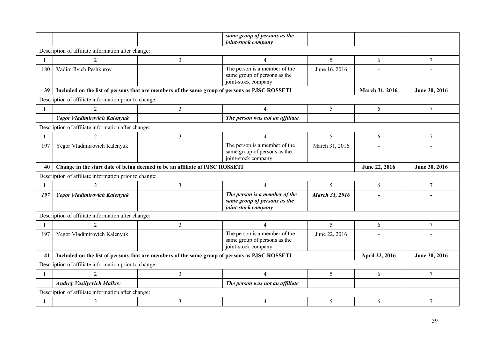|     |                                                                             |                                                                                               | same group of persons as the<br>joint-stock company                                  |                |                |                |  |  |  |
|-----|-----------------------------------------------------------------------------|-----------------------------------------------------------------------------------------------|--------------------------------------------------------------------------------------|----------------|----------------|----------------|--|--|--|
|     | Description of affiliate information after change:                          |                                                                                               |                                                                                      |                |                |                |  |  |  |
|     | $\mathfrak{D}$                                                              | $\overline{3}$                                                                                | $\overline{4}$                                                                       | 5              | 6              | $\overline{7}$ |  |  |  |
| 180 | Vadim Ilyich Peshkurov                                                      |                                                                                               | The person is a member of the<br>same group of persons as the<br>joint-stock company | June 16, 2016  |                |                |  |  |  |
| 39  |                                                                             | Included on the list of persons that are members of the same group of persons as PJSC ROSSETI |                                                                                      |                | March 31, 2016 | June 30, 2016  |  |  |  |
|     | Description of affiliate information prior to change:                       |                                                                                               |                                                                                      |                |                |                |  |  |  |
|     |                                                                             | $\overline{3}$                                                                                | $\overline{4}$                                                                       | 5              | 6              | $\overline{7}$ |  |  |  |
|     | Yegor Vladimirovich Kalenyuk                                                |                                                                                               | The person was not an affiliate                                                      |                |                |                |  |  |  |
|     | Description of affiliate information after change:                          |                                                                                               |                                                                                      |                |                |                |  |  |  |
| -1  | $\mathfrak{D}$                                                              | 3                                                                                             | $\overline{4}$                                                                       | 5              | 6              | $\tau$         |  |  |  |
| 197 | Yegor Vladimirovich Kalenyuk                                                |                                                                                               | The person is a member of the<br>same group of persons as the<br>joint-stock company | March 31, 2016 |                |                |  |  |  |
| 40  | Change in the start date of being deemed to be an affiliate of PJSC ROSSETI |                                                                                               | June 22, 2016                                                                        | June 30, 2016  |                |                |  |  |  |
|     | Description of affiliate information prior to change:                       |                                                                                               |                                                                                      |                |                |                |  |  |  |
| -1  | $\overline{2}$                                                              | $\overline{3}$                                                                                | $\overline{4}$                                                                       | 5              | 6              | $\tau$         |  |  |  |
| 197 | Yegor Vladimirovich Kalenyuk                                                |                                                                                               | The person is a member of the<br>same group of persons as the<br>joint-stock company | March 31, 2016 |                |                |  |  |  |
|     | Description of affiliate information after change:                          |                                                                                               |                                                                                      |                |                |                |  |  |  |
| -1  | $\mathfrak{D}$                                                              | $\overline{3}$                                                                                | $\overline{4}$                                                                       | $\mathfrak{S}$ | 6              | $\overline{7}$ |  |  |  |
| 197 | Yegor Vladimirovich Kalenyuk                                                |                                                                                               | The person is a member of the<br>same group of persons as the<br>joint-stock company | June 22, 2016  |                |                |  |  |  |
| 41  |                                                                             | Included on the list of persons that are members of the same group of persons as PJSC ROSSETI |                                                                                      |                | April 22, 2016 | June 30, 2016  |  |  |  |
|     | Description of affiliate information prior to change:                       |                                                                                               |                                                                                      |                |                |                |  |  |  |
| -1  | 2                                                                           | $\mathfrak{Z}$                                                                                | $\overline{4}$                                                                       | 5              | 6              | 7              |  |  |  |
|     | <b>Andrey Vasilyevich Malkov</b>                                            |                                                                                               | The person was not an affiliate                                                      |                |                |                |  |  |  |
|     | Description of affiliate information after change:                          |                                                                                               |                                                                                      |                |                |                |  |  |  |
|     | $\overline{2}$                                                              | 3                                                                                             | $\overline{4}$                                                                       | 5              | 6              | 7              |  |  |  |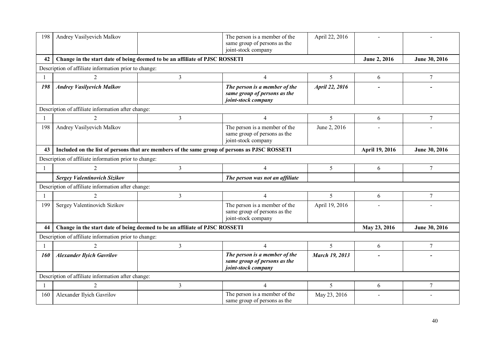| 198 | Andrey Vasilyevich Malkov                             |                                                                                               | The person is a member of the<br>same group of persons as the<br>joint-stock company | April 22, 2016        |                |                 |
|-----|-------------------------------------------------------|-----------------------------------------------------------------------------------------------|--------------------------------------------------------------------------------------|-----------------------|----------------|-----------------|
| 42  |                                                       | Change in the start date of being deemed to be an affiliate of PJSC ROSSETI                   |                                                                                      |                       | June 2, 2016   | June 30, 2016   |
|     | Description of affiliate information prior to change: |                                                                                               |                                                                                      |                       |                |                 |
|     | 2                                                     | 3                                                                                             | $\overline{4}$                                                                       | 5                     | 6              | $7\phantom{.0}$ |
| 198 | <b>Andrey Vasilyevich Malkov</b>                      |                                                                                               | The person is a member of the<br>same group of persons as the<br>joint-stock company | April 22, 2016        |                |                 |
|     | Description of affiliate information after change:    |                                                                                               |                                                                                      |                       |                |                 |
|     | 2                                                     | 3                                                                                             | $\overline{4}$                                                                       | 5                     | 6              | 7               |
| 198 | Andrey Vasilyevich Malkov                             |                                                                                               | The person is a member of the<br>same group of persons as the<br>joint-stock company | June 2, 2016          |                |                 |
| 43  |                                                       | Included on the list of persons that are members of the same group of persons as PJSC ROSSETI |                                                                                      |                       | April 19, 2016 | June 30, 2016   |
|     | Description of affiliate information prior to change: |                                                                                               |                                                                                      |                       |                |                 |
|     | $\overline{2}$                                        | 3                                                                                             | $\overline{4}$                                                                       | 5                     | 6              | 7               |
|     | Sergey Valentinovich Sizikov                          |                                                                                               | The person was not an affiliate                                                      |                       |                |                 |
|     | Description of affiliate information after change:    |                                                                                               |                                                                                      |                       |                |                 |
|     |                                                       | 3                                                                                             | $\overline{4}$                                                                       | 5                     | 6              | $\overline{7}$  |
| 199 | Sergey Valentinovich Sizikov                          |                                                                                               | The person is a member of the<br>same group of persons as the<br>joint-stock company | April 19, 2016        |                |                 |
| 44  |                                                       | Change in the start date of being deemed to be an affiliate of PJSC ROSSETI                   |                                                                                      |                       | May 23, 2016   | June 30, 2016   |
|     | Description of affiliate information prior to change: |                                                                                               |                                                                                      |                       |                |                 |
|     |                                                       | 3                                                                                             | $\overline{4}$                                                                       | 5                     | 6              | $\overline{7}$  |
| 160 | <b>Alexander Ilyich Gavrilov</b>                      |                                                                                               | The person is a member of the<br>same group of persons as the<br>joint-stock company | <b>March 19, 2013</b> | -              |                 |
|     | Description of affiliate information after change:    |                                                                                               |                                                                                      |                       |                |                 |
|     | $\overline{2}$                                        | 3                                                                                             | $\overline{4}$                                                                       | 5                     | 6              | $\tau$          |
| 160 | Alexander Ilyich Gavrilov                             |                                                                                               | The person is a member of the<br>same group of persons as the                        | May 23, 2016          |                |                 |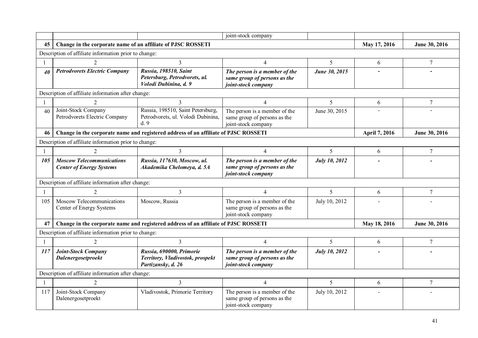|     |                                                                     |                                                                                     | joint-stock company                                                                  |                      |               |                |
|-----|---------------------------------------------------------------------|-------------------------------------------------------------------------------------|--------------------------------------------------------------------------------------|----------------------|---------------|----------------|
| 45  | Change in the corporate name of an affiliate of PJSC ROSSETI        |                                                                                     |                                                                                      |                      | May 17, 2016  | June 30, 2016  |
|     | Description of affiliate information prior to change:               |                                                                                     |                                                                                      |                      |               |                |
|     |                                                                     | $\overline{3}$                                                                      | $\overline{4}$                                                                       | 5                    | 6             | $\overline{7}$ |
| 40  | <b>Petrodvorets Electric Company</b>                                | Russia, 198510, Saint<br>Petersburg, Petrodvorets, ul.<br>Volodi Dubinina, d. 9     | The person is a member of the<br>same group of persons as the<br>joint-stock company | June 30, 2015        |               |                |
|     | Description of affiliate information after change:                  |                                                                                     |                                                                                      |                      |               |                |
|     |                                                                     | 3                                                                                   | $\overline{4}$                                                                       | 5                    | 6             | $\overline{7}$ |
| 40  | Joint-Stock Company<br>Petrodvorets Electric Company                | Russia, 198510, Saint Petersburg,<br>Petrodvorets, ul. Volodi Dubinina,<br>d.9      | The person is a member of the<br>same group of persons as the<br>joint-stock company | June 30, 2015        |               |                |
| 46  |                                                                     | Change in the corporate name and registered address of an affiliate of PJSC ROSSETI |                                                                                      |                      | April 7, 2016 | June 30, 2016  |
|     | Description of affiliate information prior to change:               |                                                                                     |                                                                                      |                      |               |                |
|     | $\mathcal{D}_{\mathcal{L}}$                                         | 3                                                                                   | $\overline{4}$                                                                       | 5                    | 6             | $\overline{7}$ |
| 105 | <b>Moscow Telecommunications</b><br><b>Center of Energy Systems</b> | Russia, 117630, Moscow, ul.<br>Akademika Chelomeya, d. 5A                           | The person is a member of the<br>same group of persons as the<br>joint-stock company | July 10, 2012        |               |                |
|     | Description of affiliate information after change:                  |                                                                                     |                                                                                      |                      |               |                |
|     | $\mathcal{D}_{\mathcal{L}}$                                         | 3                                                                                   | $\overline{4}$                                                                       | 5                    | 6             | 7              |
| 105 | Moscow Telecommunications<br>Center of Energy Systems               | Moscow, Russia                                                                      | The person is a member of the<br>same group of persons as the<br>joint-stock company | July 10, 2012        |               |                |
| 47  |                                                                     | Change in the corporate name and registered address of an affiliate of PJSC ROSSETI |                                                                                      |                      | May 18, 2016  | June 30, 2016  |
|     | Description of affiliate information prior to change:               |                                                                                     |                                                                                      |                      |               |                |
|     |                                                                     | $\mathcal{E}$                                                                       | $\overline{4}$                                                                       | 5                    | 6             | $\overline{7}$ |
| 117 | <b>Joint-Stock Company</b><br>Dalenergosetproekt                    | Russia, 690000, Primorie<br>Territory, Vladivostok, prospekt<br>Partizansky, d. 26  | The person is a member of the<br>same group of persons as the<br>joint-stock company | <b>July 10, 2012</b> |               |                |
|     | Description of affiliate information after change:                  |                                                                                     |                                                                                      |                      |               |                |
|     | $\overline{2}$                                                      | 3                                                                                   | $\overline{4}$                                                                       | 5                    | 6             | $\overline{7}$ |
| 117 | Joint-Stock Company<br>Dalenergosetproekt                           | Vladivostok, Primorie Territory                                                     | The person is a member of the<br>same group of persons as the<br>joint-stock company | July 10, 2012        |               |                |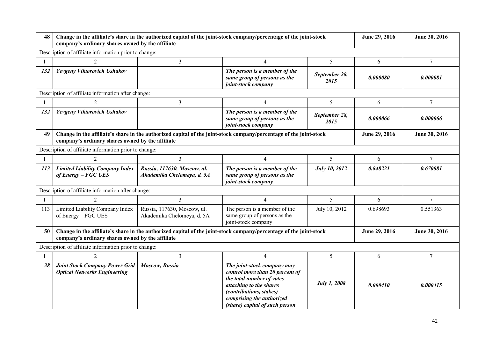| 48         | Change in the affiliate's share in the authorized capital of the joint-stock company/percentage of the joint-stock<br>company's ordinary shares owned by the affiliate |                                                           |                                                                                                                                                                                                                         | June 29, 2016         | June 30, 2016 |                |
|------------|------------------------------------------------------------------------------------------------------------------------------------------------------------------------|-----------------------------------------------------------|-------------------------------------------------------------------------------------------------------------------------------------------------------------------------------------------------------------------------|-----------------------|---------------|----------------|
|            | Description of affiliate information prior to change:                                                                                                                  |                                                           |                                                                                                                                                                                                                         |                       |               |                |
|            | $\overline{2}$                                                                                                                                                         | 3                                                         | 4                                                                                                                                                                                                                       | 5                     | 6             | $\overline{7}$ |
| 132        | Yevgeny Viktorovich Ushakov                                                                                                                                            |                                                           | The person is a member of the<br>same group of persons as the<br>joint-stock company                                                                                                                                    | September 28,<br>2015 | 0.000080      | 0.000081       |
|            | Description of affiliate information after change:                                                                                                                     |                                                           |                                                                                                                                                                                                                         |                       |               |                |
|            |                                                                                                                                                                        | 3                                                         | 4                                                                                                                                                                                                                       | 5                     | 6             | $\overline{7}$ |
| 132        | Yevgeny Viktorovich Ushakov                                                                                                                                            |                                                           | The person is a member of the<br>same group of persons as the<br>joint-stock company                                                                                                                                    | September 28,<br>2015 | 0.000066      | 0.000066       |
| 49         | Change in the affiliate's share in the authorized capital of the joint-stock company/percentage of the joint-stock<br>company's ordinary shares owned by the affiliate |                                                           | June 29, 2016                                                                                                                                                                                                           | June 30, 2016         |               |                |
|            | Description of affiliate information prior to change:                                                                                                                  |                                                           |                                                                                                                                                                                                                         |                       |               |                |
|            | 2                                                                                                                                                                      | 3                                                         | $\overline{4}$                                                                                                                                                                                                          | 5                     | 6             | $\overline{7}$ |
| <i>113</i> | <b>Limited Liability Company Index</b><br>of Energy - FGC UES                                                                                                          | Russia, 117630, Moscow, ul.<br>Akademika Chelomeya, d. 5A | The person is a member of the<br>same group of persons as the<br>joint-stock company                                                                                                                                    | July 10, 2012         | 0.848221      | 0.670881       |
|            | Description of affiliate information after change:                                                                                                                     |                                                           |                                                                                                                                                                                                                         |                       |               |                |
|            | $\overline{2}$                                                                                                                                                         | 3                                                         | $\overline{4}$                                                                                                                                                                                                          | 5                     | 6             | 7              |
| 113        | Limited Liability Company Index<br>of Energy – FGC UES                                                                                                                 | Russia, 117630, Moscow, ul.<br>Akademika Chelomeya, d. 5A | The person is a member of the<br>same group of persons as the<br>joint-stock company                                                                                                                                    | July 10, 2012         | 0.698693      | 0.551363       |
| 50         | company's ordinary shares owned by the affiliate                                                                                                                       |                                                           | Change in the affiliate's share in the authorized capital of the joint-stock company/percentage of the joint-stock                                                                                                      |                       | June 29, 2016 | June 30, 2016  |
|            | Description of affiliate information prior to change:                                                                                                                  |                                                           |                                                                                                                                                                                                                         |                       |               |                |
|            | $\mathcal{D}$                                                                                                                                                          | 3                                                         | $\overline{4}$                                                                                                                                                                                                          | 5                     | 6             | $\overline{7}$ |
| 38         | <b>Joint Stock Company Power Grid</b><br><b>Optical Networks Engineering</b>                                                                                           | Moscow, Russia                                            | The joint-stock company may<br>control more than 20 percent of<br>the total number of votes<br>attaching to the shares<br><i>(contributions, stakes)</i><br>comprising the authorized<br>(share) capital of such person | <b>July 1, 2008</b>   | 0.000410      | 0.000415       |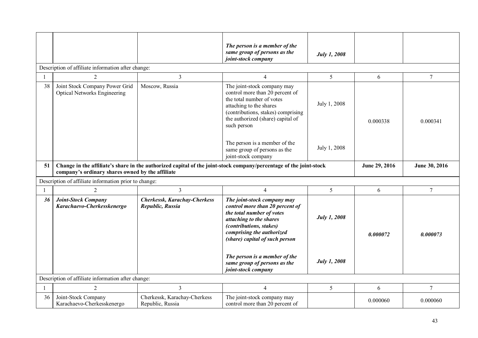|    |                                                                       |                                                  | The person is a member of the<br>same group of persons as the<br>joint-stock company                                                                                                                                    | <b>July 1, 2008</b> |               |                |
|----|-----------------------------------------------------------------------|--------------------------------------------------|-------------------------------------------------------------------------------------------------------------------------------------------------------------------------------------------------------------------------|---------------------|---------------|----------------|
|    | Description of affiliate information after change:                    |                                                  |                                                                                                                                                                                                                         |                     |               |                |
|    | $\overline{2}$                                                        | 3                                                | $\overline{4}$                                                                                                                                                                                                          | 5                   | 6             | 7              |
| 38 | Joint Stock Company Power Grid<br><b>Optical Networks Engineering</b> | Moscow, Russia                                   | The joint-stock company may<br>control more than 20 percent of<br>the total number of votes<br>attaching to the shares<br>(contributions, stakes) comprising<br>the authorized (share) capital of<br>such person        | July 1, 2008        | 0.000338      | 0.000341       |
|    |                                                                       |                                                  | The person is a member of the<br>same group of persons as the<br>joint-stock company                                                                                                                                    | July 1, 2008        |               |                |
| 51 | company's ordinary shares owned by the affiliate                      |                                                  | Change in the affiliate's share in the authorized capital of the joint-stock company/percentage of the joint-stock                                                                                                      |                     | June 29, 2016 | June 30, 2016  |
|    | Description of affiliate information prior to change:                 |                                                  |                                                                                                                                                                                                                         |                     |               |                |
|    | $\overline{2}$                                                        | 3                                                | $\overline{4}$                                                                                                                                                                                                          | 5                   | 6             | $\overline{7}$ |
| 36 | <b>Joint-Stock Company</b><br>Karachaevo-Cherkesskenergo              | Cherkessk, Karachay-Cherkess<br>Republic, Russia | The joint-stock company may<br>control more than 20 percent of<br>the total number of votes<br>attaching to the shares<br><i>(contributions, stakes)</i><br>comprising the authorized<br>(share) capital of such person | <b>July 1, 2008</b> | 0.000072      | 0.000073       |
|    |                                                                       |                                                  | The person is a member of the<br>same group of persons as the<br>joint-stock company                                                                                                                                    | <b>July 1, 2008</b> |               |                |
|    | Description of affiliate information after change:                    |                                                  |                                                                                                                                                                                                                         |                     |               |                |
|    | $\overline{2}$                                                        | $\overline{3}$                                   | $\overline{4}$                                                                                                                                                                                                          | 5                   | 6             | 7              |
| 36 | Joint-Stock Company<br>Karachaevo-Cherkesskenergo                     | Cherkessk, Karachay-Cherkess<br>Republic, Russia | The joint-stock company may<br>control more than 20 percent of                                                                                                                                                          |                     | 0.000060      | 0.000060       |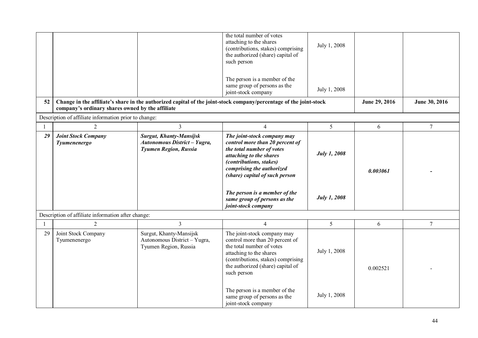|    |                                                       |                                                                                         | the total number of votes<br>attaching to the shares<br>(contributions, stakes) comprising<br>the authorized (share) capital of<br>such person                                                                                                                                    | July 1, 2008                               |               |                |
|----|-------------------------------------------------------|-----------------------------------------------------------------------------------------|-----------------------------------------------------------------------------------------------------------------------------------------------------------------------------------------------------------------------------------------------------------------------------------|--------------------------------------------|---------------|----------------|
|    |                                                       |                                                                                         | The person is a member of the<br>same group of persons as the<br>joint-stock company                                                                                                                                                                                              | July 1, 2008                               |               |                |
| 52 | company's ordinary shares owned by the affiliate      |                                                                                         | Change in the affiliate's share in the authorized capital of the joint-stock company/percentage of the joint-stock                                                                                                                                                                |                                            | June 29, 2016 | June 30, 2016  |
|    | Description of affiliate information prior to change: |                                                                                         |                                                                                                                                                                                                                                                                                   |                                            |               |                |
| -1 | $\overline{2}$                                        | $\overline{3}$                                                                          | $\overline{4}$                                                                                                                                                                                                                                                                    | 5                                          | 6             | $\overline{7}$ |
| 29 | <b>Joint Stock Company</b><br>Tyumenenergo            | <b>Surgut, Khanty-Mansijsk</b><br>Autonomous District - Yugra,<br>Tyumen Region, Russia | The joint-stock company may<br>control more than 20 percent of<br>the total number of votes<br>attaching to the shares<br>(contributions, stakes)<br>comprising the authorized<br>(share) capital of such person<br>The person is a member of the<br>same group of persons as the | <b>July 1, 2008</b><br><b>July 1, 2008</b> | 0.003061      |                |
|    |                                                       |                                                                                         | joint-stock company                                                                                                                                                                                                                                                               |                                            |               |                |
|    | Description of affiliate information after change:    |                                                                                         |                                                                                                                                                                                                                                                                                   |                                            |               |                |
|    | 2                                                     | $\overline{3}$                                                                          | $\overline{4}$                                                                                                                                                                                                                                                                    | 5                                          | 6             | $\tau$         |
| 29 | Joint Stock Company<br>Tyumenenergo                   | Surgut, Khanty-Mansijsk<br>Autonomous District - Yugra,<br>Tyumen Region, Russia        | The joint-stock company may<br>control more than 20 percent of<br>the total number of votes<br>attaching to the shares<br>(contributions, stakes) comprising<br>the authorized (share) capital of<br>such person                                                                  | July 1, 2008                               | 0.002521      |                |
|    |                                                       |                                                                                         | The person is a member of the<br>same group of persons as the<br>joint-stock company                                                                                                                                                                                              | July 1, 2008                               |               |                |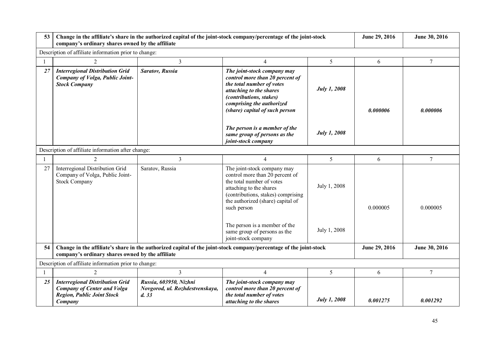| 53 | company's ordinary shares owned by the affiliate                                                                             | Change in the affiliate's share in the authorized capital of the joint-stock company/percentage of the joint-stock |                                                                                                                                                                                                                  | June 29, 2016       | June 30, 2016 |                |
|----|------------------------------------------------------------------------------------------------------------------------------|--------------------------------------------------------------------------------------------------------------------|------------------------------------------------------------------------------------------------------------------------------------------------------------------------------------------------------------------|---------------------|---------------|----------------|
|    | Description of affiliate information prior to change:                                                                        |                                                                                                                    |                                                                                                                                                                                                                  |                     |               |                |
|    | 2                                                                                                                            | 3                                                                                                                  | $\overline{4}$                                                                                                                                                                                                   | 5                   | 6             | 7              |
| 27 | <b>Interregional Distribution Grid</b><br>Company of Volga, Public Joint-<br><b>Stock Company</b>                            | Saratov, Russia                                                                                                    | The joint-stock company may<br>control more than 20 percent of<br>the total number of votes<br>attaching to the shares<br>(contributions, stakes)<br>comprising the authorized<br>(share) capital of such person | <b>July 1, 2008</b> | 0.000006      | 0.000006       |
|    |                                                                                                                              |                                                                                                                    | The person is a member of the<br>same group of persons as the<br>joint-stock company                                                                                                                             | <b>July 1, 2008</b> |               |                |
|    | Description of affiliate information after change:                                                                           |                                                                                                                    |                                                                                                                                                                                                                  |                     |               |                |
|    | $\overline{2}$                                                                                                               | 3                                                                                                                  | $\overline{4}$                                                                                                                                                                                                   | 5                   | 6             | $\tau$         |
| 27 | Interregional Distribution Grid<br>Company of Volga, Public Joint-<br><b>Stock Company</b>                                   | Saratov, Russia                                                                                                    | The joint-stock company may<br>control more than 20 percent of<br>the total number of votes<br>attaching to the shares<br>(contributions, stakes) comprising<br>the authorized (share) capital of<br>such person | July 1, 2008        | 0.000005      | 0.000005       |
|    |                                                                                                                              |                                                                                                                    | The person is a member of the<br>same group of persons as the<br>joint-stock company                                                                                                                             | July 1, 2008        |               |                |
| 54 | company's ordinary shares owned by the affiliate                                                                             |                                                                                                                    | Change in the affiliate's share in the authorized capital of the joint-stock company/percentage of the joint-stock                                                                                               |                     | June 29, 2016 | June 30, 2016  |
|    | Description of affiliate information prior to change:                                                                        |                                                                                                                    |                                                                                                                                                                                                                  |                     |               |                |
|    | $\overline{2}$                                                                                                               | 3                                                                                                                  | $\overline{4}$                                                                                                                                                                                                   | 5                   | 6             | $\overline{7}$ |
| 25 | <b>Interregional Distribution Grid</b><br><b>Company of Center and Volga</b><br><b>Region, Public Joint Stock</b><br>Company | Russia, 603950, Nizhni<br>Novgorod, ul. Rozhdestvenskaya,<br>d.33                                                  | The joint-stock company may<br>control more than 20 percent of<br>the total number of votes<br>attaching to the shares                                                                                           | <b>July 1, 2008</b> | 0.001275      | 0.001292       |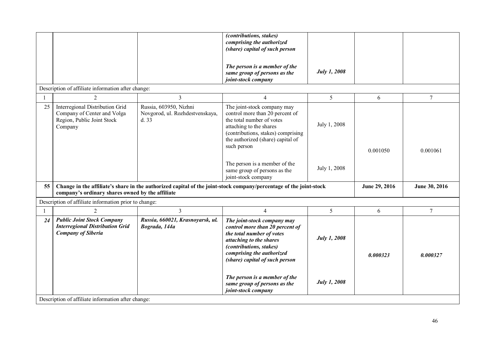|    |                                                                                                          |                                                                    | <i>(contributions, stakes)</i><br>comprising the authorized<br>(share) capital of such person                                                                                                                                                                                                            |                              |               |                |
|----|----------------------------------------------------------------------------------------------------------|--------------------------------------------------------------------|----------------------------------------------------------------------------------------------------------------------------------------------------------------------------------------------------------------------------------------------------------------------------------------------------------|------------------------------|---------------|----------------|
|    |                                                                                                          |                                                                    |                                                                                                                                                                                                                                                                                                          |                              |               |                |
|    |                                                                                                          |                                                                    | The person is a member of the<br>same group of persons as the<br>joint-stock company                                                                                                                                                                                                                     | <b>July 1, 2008</b>          |               |                |
|    | Description of affiliate information after change:                                                       |                                                                    |                                                                                                                                                                                                                                                                                                          |                              |               |                |
|    | $\overline{2}$                                                                                           | 3                                                                  | $\overline{4}$                                                                                                                                                                                                                                                                                           | 5                            | 6             | $\overline{7}$ |
| 25 | Interregional Distribution Grid<br>Company of Center and Volga<br>Region, Public Joint Stock<br>Company  | Russia, 603950, Nizhni<br>Novgorod, ul. Rozhdestvenskaya,<br>d. 33 | The joint-stock company may<br>control more than 20 percent of<br>the total number of votes<br>attaching to the shares<br>(contributions, stakes) comprising<br>the authorized (share) capital of<br>such person<br>The person is a member of the<br>same group of persons as the<br>joint-stock company | July 1, 2008<br>July 1, 2008 | 0.001050      | 0.001061       |
| 55 | company's ordinary shares owned by the affiliate                                                         |                                                                    | Change in the affiliate's share in the authorized capital of the joint-stock company/percentage of the joint-stock                                                                                                                                                                                       |                              | June 29, 2016 | June 30, 2016  |
|    | Description of affiliate information prior to change:                                                    |                                                                    |                                                                                                                                                                                                                                                                                                          |                              |               |                |
|    | $\overline{2}$                                                                                           | 3                                                                  | $\overline{4}$                                                                                                                                                                                                                                                                                           | 5                            | 6             | $\tau$         |
| 24 | <b>Public Joint Stock Company</b><br><b>Interregional Distribution Grid</b><br><b>Company of Siberia</b> | Russia, 660021, Krasnoyarsk, ul.<br>Bograda, 144a                  | The joint-stock company may<br>control more than 20 percent of<br>the total number of votes<br>attaching to the shares<br><i>(contributions, stakes)</i><br>comprising the authorized<br>(share) capital of such person                                                                                  | <b>July 1, 2008</b>          | 0.000323      | 0.000327       |
|    | Description of affiliate information after change:                                                       |                                                                    | The person is a member of the<br>same group of persons as the<br>joint-stock company                                                                                                                                                                                                                     | <b>July 1, 2008</b>          |               |                |